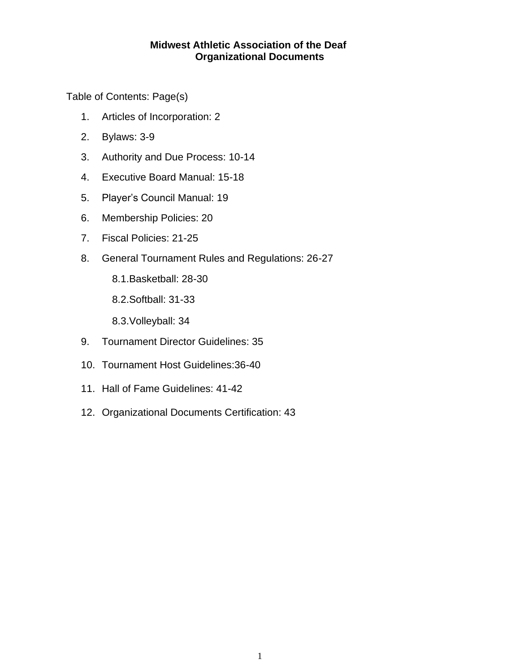# **Midwest Athletic Association of the Deaf Organizational Documents**

Table of Contents: Page(s)

- 1. Articles of Incorporation: 2
- 2. Bylaws: 3-9
- 3. Authority and Due Process: 10-14
- 4. Executive Board Manual: 15-18
- 5. Player's Council Manual: 19
- 6. Membership Policies: 20
- 7. Fiscal Policies: 21-25
- 8. General Tournament Rules and Regulations: 26-27
	- 8.1.Basketball: 28-30
	- 8.2.Softball: 31-33
	- 8.3.Volleyball: 34
- 9. Tournament Director Guidelines: 35
- 10. Tournament Host Guidelines:36-40
- 11. Hall of Fame Guidelines: 41-42
- 12. Organizational Documents Certification: 43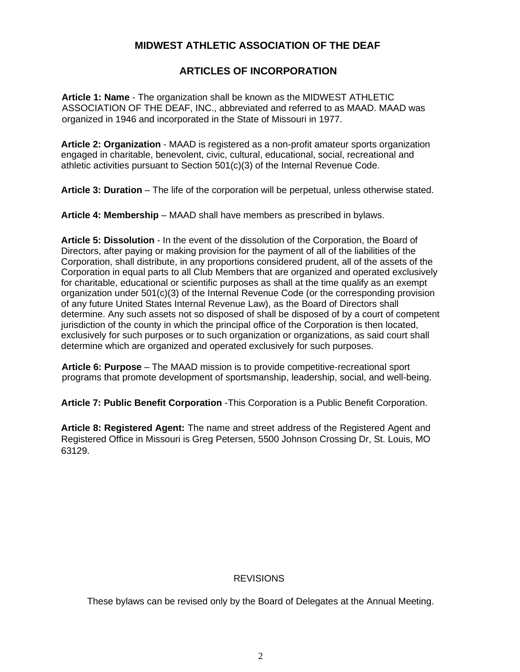# **MIDWEST ATHLETIC ASSOCIATION OF THE DEAF**

## **ARTICLES OF INCORPORATION**

**Article 1: Name** - The organization shall be known as the MIDWEST ATHLETIC ASSOCIATION OF THE DEAF, INC., abbreviated and referred to as MAAD. MAAD was organized in 1946 and incorporated in the State of Missouri in 1977.

**Article 2: Organization** - MAAD is registered as a non-profit amateur sports organization engaged in charitable, benevolent, civic, cultural, educational, social, recreational and athletic activities pursuant to Section 501(c)(3) of the Internal Revenue Code.

**Article 3: Duration** – The life of the corporation will be perpetual, unless otherwise stated.

**Article 4: Membership** – MAAD shall have members as prescribed in bylaws.

**Article 5: Dissolution** - In the event of the dissolution of the Corporation, the Board of Directors, after paying or making provision for the payment of all of the liabilities of the Corporation, shall distribute, in any proportions considered prudent, all of the assets of the Corporation in equal parts to all Club Members that are organized and operated exclusively for charitable, educational or scientific purposes as shall at the time qualify as an exempt organization under  $501(c)(3)$  of the Internal Revenue Code (or the corresponding provision of any future United States Internal Revenue Law), as the Board of Directors shall determine. Any such assets not so disposed of shall be disposed of by a court of competent jurisdiction of the county in which the principal office of the Corporation is then located, exclusively for such purposes or to such organization or organizations, as said court shall determine which are organized and operated exclusively for such purposes.

**Article 6: Purpose** – The MAAD mission is to provide competitive-recreational sport programs that promote development of sportsmanship, leadership, social, and well-being.

**Article 7: Public Benefit Corporation** -This Corporation is a Public Benefit Corporation.

**Article 8: Registered Agent:** The name and street address of the Registered Agent and Registered Office in Missouri is Greg Petersen, 5500 Johnson Crossing Dr, St. Louis, MO 63129.

#### **REVISIONS**

These bylaws can be revised only by the Board of Delegates at the Annual Meeting.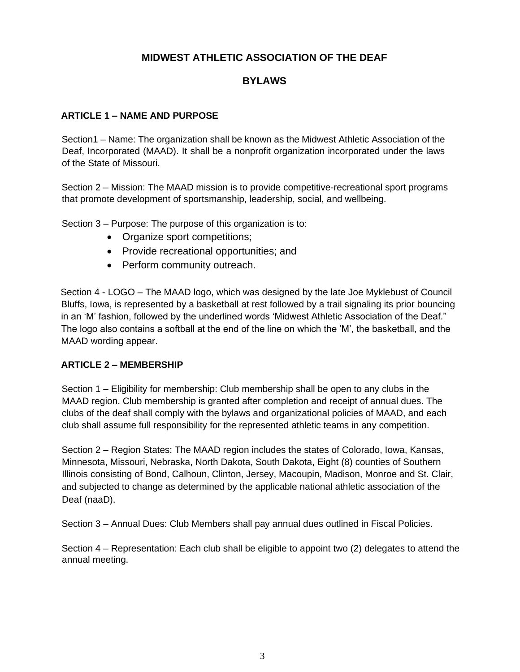# **MIDWEST ATHLETIC ASSOCIATION OF THE DEAF**

# **BYLAWS**

## **ARTICLE 1 – NAME AND PURPOSE**

Section1 – Name: The organization shall be known as the Midwest Athletic Association of the Deaf, Incorporated (MAAD). It shall be a nonprofit organization incorporated under the laws of the State of Missouri.

Section 2 – Mission: The MAAD mission is to provide competitive-recreational sport programs that promote development of sportsmanship, leadership, social, and wellbeing.

Section 3 – Purpose: The purpose of this organization is to:

- Organize sport competitions;
- Provide recreational opportunities; and
- Perform community outreach.

Section 4 - LOGO – The MAAD logo, which was designed by the late Joe Myklebust of Council Bluffs, Iowa, is represented by a basketball at rest followed by a trail signaling its prior bouncing in an 'M' fashion, followed by the underlined words 'Midwest Athletic Association of the Deaf." The logo also contains a softball at the end of the line on which the 'M', the basketball, and the MAAD wording appear.

## **ARTICLE 2 – MEMBERSHIP**

Section 1 – Eligibility for membership: Club membership shall be open to any clubs in the MAAD region. Club membership is granted after completion and receipt of annual dues. The clubs of the deaf shall comply with the bylaws and organizational policies of MAAD, and each club shall assume full responsibility for the represented athletic teams in any competition.

Section 2 – Region States: The MAAD region includes the states of Colorado, Iowa, Kansas, Minnesota, Missouri, Nebraska, North Dakota, South Dakota, Eight (8) counties of Southern Illinois consisting of Bond, Calhoun, Clinton, Jersey, Macoupin, Madison, Monroe and St. Clair, and subjected to change as determined by the applicable national athletic association of the Deaf (naaD).

Section 3 – Annual Dues: Club Members shall pay annual dues outlined in Fiscal Policies.

Section 4 – Representation: Each club shall be eligible to appoint two (2) delegates to attend the annual meeting.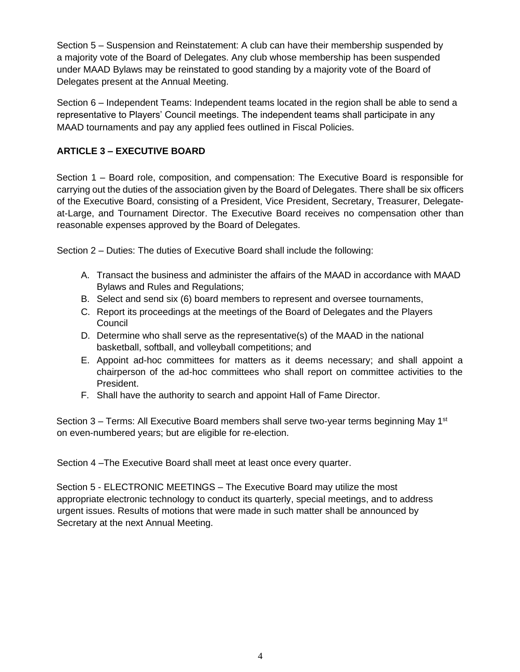Section 5 – Suspension and Reinstatement: A club can have their membership suspended by a majority vote of the Board of Delegates. Any club whose membership has been suspended under MAAD Bylaws may be reinstated to good standing by a majority vote of the Board of Delegates present at the Annual Meeting.

Section 6 – Independent Teams: Independent teams located in the region shall be able to send a representative to Players' Council meetings. The independent teams shall participate in any MAAD tournaments and pay any applied fees outlined in Fiscal Policies.

# **ARTICLE 3 – EXECUTIVE BOARD**

Section 1 – Board role, composition, and compensation: The Executive Board is responsible for carrying out the duties of the association given by the Board of Delegates. There shall be six officers of the Executive Board, consisting of a President, Vice President, Secretary, Treasurer, Delegateat-Large, and Tournament Director. The Executive Board receives no compensation other than reasonable expenses approved by the Board of Delegates.

Section 2 – Duties: The duties of Executive Board shall include the following:

- A. Transact the business and administer the affairs of the MAAD in accordance with MAAD Bylaws and Rules and Regulations;
- B. Select and send six (6) board members to represent and oversee tournaments,
- C. Report its proceedings at the meetings of the Board of Delegates and the Players Council
- D. Determine who shall serve as the representative(s) of the MAAD in the national basketball, softball, and volleyball competitions; and
- E. Appoint ad-hoc committees for matters as it deems necessary; and shall appoint a chairperson of the ad-hoc committees who shall report on committee activities to the President.
- F. Shall have the authority to search and appoint Hall of Fame Director.

Section 3 – Terms: All Executive Board members shall serve two-year terms beginning May 1<sup>st</sup> on even-numbered years; but are eligible for re-election.

Section 4 –The Executive Board shall meet at least once every quarter.

Section 5 - ELECTRONIC MEETINGS – The Executive Board may utilize the most appropriate electronic technology to conduct its quarterly, special meetings, and to address urgent issues. Results of motions that were made in such matter shall be announced by Secretary at the next Annual Meeting.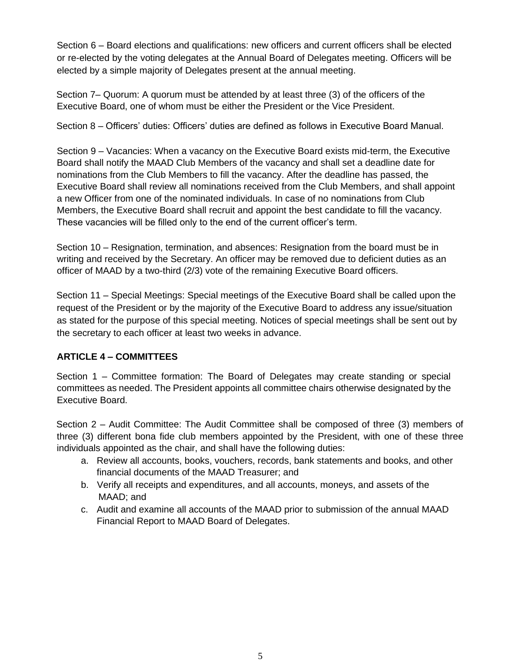Section 6 – Board elections and qualifications: new officers and current officers shall be elected or re-elected by the voting delegates at the Annual Board of Delegates meeting. Officers will be elected by a simple majority of Delegates present at the annual meeting.

Section 7– Quorum: A quorum must be attended by at least three (3) of the officers of the Executive Board, one of whom must be either the President or the Vice President.

Section 8 – Officers' duties: Officers' duties are defined as follows in Executive Board Manual.

Section 9 – Vacancies: When a vacancy on the Executive Board exists mid-term, the Executive Board shall notify the MAAD Club Members of the vacancy and shall set a deadline date for nominations from the Club Members to fill the vacancy. After the deadline has passed, the Executive Board shall review all nominations received from the Club Members, and shall appoint a new Officer from one of the nominated individuals. In case of no nominations from Club Members, the Executive Board shall recruit and appoint the best candidate to fill the vacancy. These vacancies will be filled only to the end of the current officer's term.

Section 10 – Resignation, termination, and absences: Resignation from the board must be in writing and received by the Secretary. An officer may be removed due to deficient duties as an officer of MAAD by a two-third (2/3) vote of the remaining Executive Board officers.

Section 11 – Special Meetings: Special meetings of the Executive Board shall be called upon the request of the President or by the majority of the Executive Board to address any issue/situation as stated for the purpose of this special meeting. Notices of special meetings shall be sent out by the secretary to each officer at least two weeks in advance.

# **ARTICLE 4 – COMMITTEES**

Section 1 – Committee formation: The Board of Delegates may create standing or special committees as needed. The President appoints all committee chairs otherwise designated by the Executive Board.

Section 2 – Audit Committee: The Audit Committee shall be composed of three (3) members of three (3) different bona fide club members appointed by the President, with one of these three individuals appointed as the chair, and shall have the following duties:

- a. Review all accounts, books, vouchers, records, bank statements and books, and other financial documents of the MAAD Treasurer; and
- b. Verify all receipts and expenditures, and all accounts, moneys, and assets of the MAAD; and
- c. Audit and examine all accounts of the MAAD prior to submission of the annual MAAD Financial Report to MAAD Board of Delegates.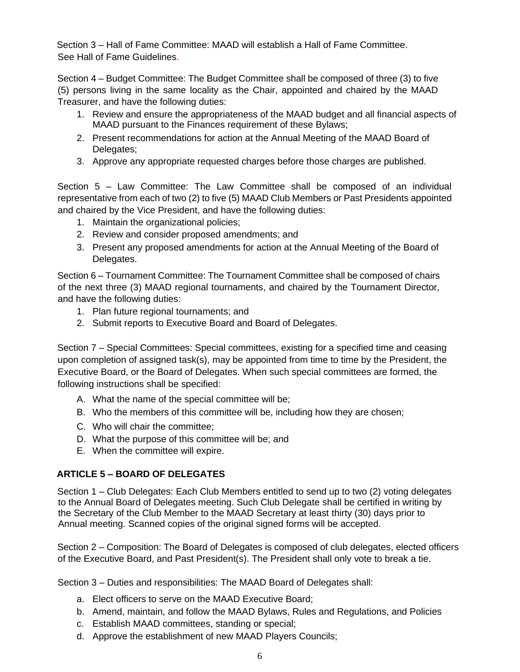Section 3 – Hall of Fame Committee: MAAD will establish a Hall of Fame Committee. See Hall of Fame Guidelines.

Section 4 – Budget Committee: The Budget Committee shall be composed of three (3) to five (5) persons living in the same locality as the Chair, appointed and chaired by the MAAD Treasurer, and have the following duties:

- 1. Review and ensure the appropriateness of the MAAD budget and all financial aspects of MAAD pursuant to the Finances requirement of these Bylaws;
- 2. Present recommendations for action at the Annual Meeting of the MAAD Board of Delegates;
- 3. Approve any appropriate requested charges before those charges are published.

Section 5 – Law Committee: The Law Committee shall be composed of an individual representative from each of two (2) to five (5) MAAD Club Members or Past Presidents appointed and chaired by the Vice President, and have the following duties:

- 1. Maintain the organizational policies;
- 2. Review and consider proposed amendments; and
- 3. Present any proposed amendments for action at the Annual Meeting of the Board of Delegates.

Section 6 – Tournament Committee: The Tournament Committee shall be composed of chairs of the next three (3) MAAD regional tournaments, and chaired by the Tournament Director, and have the following duties:

- 1. Plan future regional tournaments; and
- 2. Submit reports to Executive Board and Board of Delegates.

Section 7 – Special Committees: Special committees, existing for a specified time and ceasing upon completion of assigned task(s), may be appointed from time to time by the President, the Executive Board, or the Board of Delegates. When such special committees are formed, the following instructions shall be specified:

- A. What the name of the special committee will be;
- B. Who the members of this committee will be, including how they are chosen;
- C. Who will chair the committee;
- D. What the purpose of this committee will be; and
- E. When the committee will expire.

# **ARTICLE 5 – BOARD OF DELEGATES**

Section 1 – Club Delegates: Each Club Members entitled to send up to two (2) voting delegates to the Annual Board of Delegates meeting. Such Club Delegate shall be certified in writing by the Secretary of the Club Member to the MAAD Secretary at least thirty (30) days prior to Annual meeting. Scanned copies of the original signed forms will be accepted.

Section 2 – Composition: The Board of Delegates is composed of club delegates, elected officers of the Executive Board, and Past President(s). The President shall only vote to break a tie.

Section 3 – Duties and responsibilities: The MAAD Board of Delegates shall:

- a. Elect officers to serve on the MAAD Executive Board;
- b. Amend, maintain, and follow the MAAD Bylaws, Rules and Regulations, and Policies
- c. Establish MAAD committees, standing or special;
- d. Approve the establishment of new MAAD Players Councils;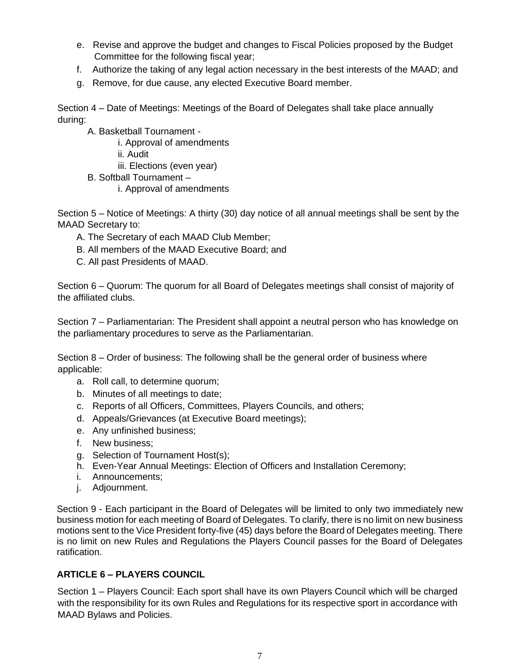- e. Revise and approve the budget and changes to Fiscal Policies proposed by the Budget Committee for the following fiscal year;
- f. Authorize the taking of any legal action necessary in the best interests of the MAAD; and
- g. Remove, for due cause, any elected Executive Board member.

Section 4 – Date of Meetings: Meetings of the Board of Delegates shall take place annually during:

A. Basketball Tournament -

i. Approval of amendments

ii. Audit

iii. Elections (even year)

- B. Softball Tournament
	- i. Approval of amendments

Section 5 – Notice of Meetings: A thirty (30) day notice of all annual meetings shall be sent by the MAAD Secretary to:

- A. The Secretary of each MAAD Club Member;
- B. All members of the MAAD Executive Board; and
- C. All past Presidents of MAAD.

Section 6 – Quorum: The quorum for all Board of Delegates meetings shall consist of majority of the affiliated clubs.

Section 7 – Parliamentarian: The President shall appoint a neutral person who has knowledge on the parliamentary procedures to serve as the Parliamentarian.

Section 8 – Order of business: The following shall be the general order of business where applicable:

- a. Roll call, to determine quorum;
- b. Minutes of all meetings to date;
- c. Reports of all Officers, Committees, Players Councils, and others;
- d. Appeals/Grievances (at Executive Board meetings);
- e. Any unfinished business;
- f. New business;
- g. Selection of Tournament Host(s);
- h. Even-Year Annual Meetings: Election of Officers and Installation Ceremony;
- i. Announcements;
- j. Adjournment.

Section 9 - Each participant in the Board of Delegates will be limited to only two immediately new business motion for each meeting of Board of Delegates. To clarify, there is no limit on new business motions sent to the Vice President forty-five (45) days before the Board of Delegates meeting. There is no limit on new Rules and Regulations the Players Council passes for the Board of Delegates ratification.

## **ARTICLE 6 – PLAYERS COUNCIL**

Section 1 – Players Council: Each sport shall have its own Players Council which will be charged with the responsibility for its own Rules and Regulations for its respective sport in accordance with MAAD Bylaws and Policies.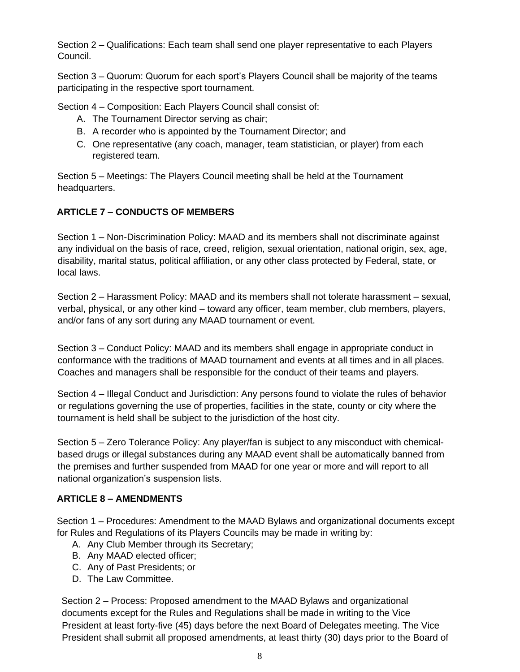Section 2 – Qualifications: Each team shall send one player representative to each Players Council.

Section 3 – Quorum: Quorum for each sport's Players Council shall be majority of the teams participating in the respective sport tournament.

Section 4 – Composition: Each Players Council shall consist of:

- A. The Tournament Director serving as chair;
- B. A recorder who is appointed by the Tournament Director; and
- C. One representative (any coach, manager, team statistician, or player) from each registered team.

Section 5 – Meetings: The Players Council meeting shall be held at the Tournament headquarters.

# **ARTICLE 7 – CONDUCTS OF MEMBERS**

Section 1 – Non-Discrimination Policy: MAAD and its members shall not discriminate against any individual on the basis of race, creed, religion, sexual orientation, national origin, sex, age, disability, marital status, political affiliation, or any other class protected by Federal, state, or local laws.

Section 2 – Harassment Policy: MAAD and its members shall not tolerate harassment – sexual, verbal, physical, or any other kind – toward any officer, team member, club members, players, and/or fans of any sort during any MAAD tournament or event.

Section 3 – Conduct Policy: MAAD and its members shall engage in appropriate conduct in conformance with the traditions of MAAD tournament and events at all times and in all places. Coaches and managers shall be responsible for the conduct of their teams and players.

Section 4 – Illegal Conduct and Jurisdiction: Any persons found to violate the rules of behavior or regulations governing the use of properties, facilities in the state, county or city where the tournament is held shall be subject to the jurisdiction of the host city.

Section 5 – Zero Tolerance Policy: Any player/fan is subject to any misconduct with chemicalbased drugs or illegal substances during any MAAD event shall be automatically banned from the premises and further suspended from MAAD for one year or more and will report to all national organization's suspension lists.

# **ARTICLE 8 – AMENDMENTS**

Section 1 – Procedures: Amendment to the MAAD Bylaws and organizational documents except for Rules and Regulations of its Players Councils may be made in writing by:

- A. Any Club Member through its Secretary;
- B. Any MAAD elected officer;
- C. Any of Past Presidents; or
- D. The Law Committee.

Section 2 – Process: Proposed amendment to the MAAD Bylaws and organizational documents except for the Rules and Regulations shall be made in writing to the Vice President at least forty-five (45) days before the next Board of Delegates meeting. The Vice President shall submit all proposed amendments, at least thirty (30) days prior to the Board of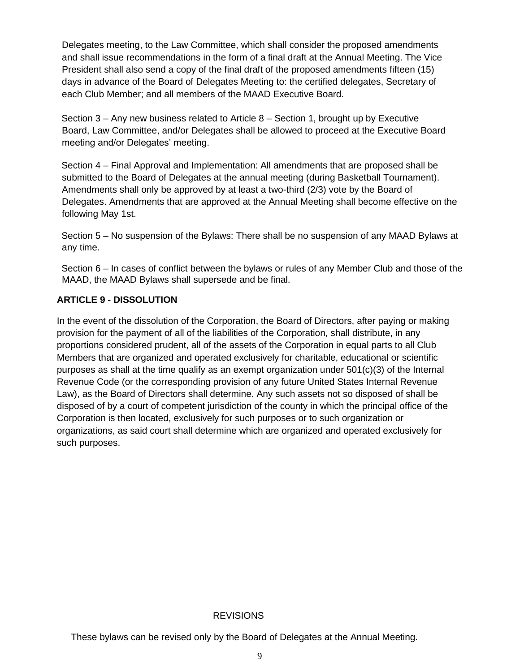Delegates meeting, to the Law Committee, which shall consider the proposed amendments and shall issue recommendations in the form of a final draft at the Annual Meeting. The Vice President shall also send a copy of the final draft of the proposed amendments fifteen (15) days in advance of the Board of Delegates Meeting to: the certified delegates, Secretary of each Club Member; and all members of the MAAD Executive Board.

Section  $3 -$  Any new business related to Article  $8 -$  Section 1, brought up by Executive Board, Law Committee, and/or Delegates shall be allowed to proceed at the Executive Board meeting and/or Delegates' meeting.

Section 4 – Final Approval and Implementation: All amendments that are proposed shall be submitted to the Board of Delegates at the annual meeting (during Basketball Tournament). Amendments shall only be approved by at least a two-third (2/3) vote by the Board of Delegates. Amendments that are approved at the Annual Meeting shall become effective on the following May 1st.

Section 5 – No suspension of the Bylaws: There shall be no suspension of any MAAD Bylaws at any time.

Section 6 – In cases of conflict between the bylaws or rules of any Member Club and those of the MAAD, the MAAD Bylaws shall supersede and be final.

### **ARTICLE 9 - DISSOLUTION**

In the event of the dissolution of the Corporation, the Board of Directors, after paying or making provision for the payment of all of the liabilities of the Corporation, shall distribute, in any proportions considered prudent, all of the assets of the Corporation in equal parts to all Club Members that are organized and operated exclusively for charitable, educational or scientific purposes as shall at the time qualify as an exempt organization under 501(c)(3) of the Internal Revenue Code (or the corresponding provision of any future United States Internal Revenue Law), as the Board of Directors shall determine. Any such assets not so disposed of shall be disposed of by a court of competent jurisdiction of the county in which the principal office of the Corporation is then located, exclusively for such purposes or to such organization or organizations, as said court shall determine which are organized and operated exclusively for such purposes.

#### **REVISIONS**

These bylaws can be revised only by the Board of Delegates at the Annual Meeting.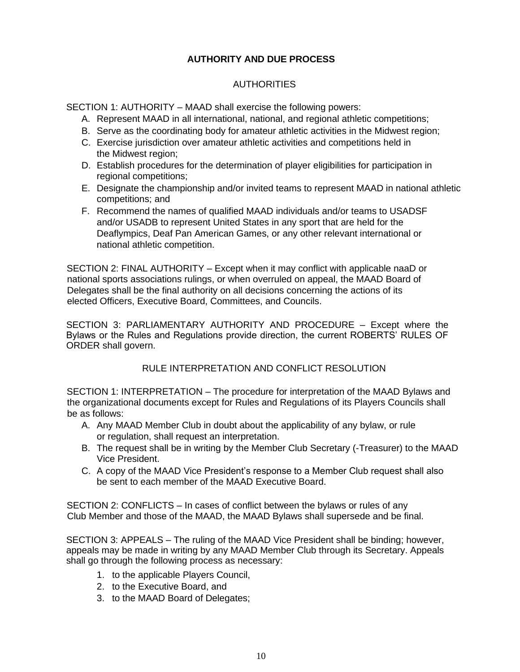## **AUTHORITY AND DUE PROCESS**

### AUTHORITIES

SECTION 1: AUTHORITY – MAAD shall exercise the following powers:

- A. Represent MAAD in all international, national, and regional athletic competitions;
- B. Serve as the coordinating body for amateur athletic activities in the Midwest region;
- C. Exercise jurisdiction over amateur athletic activities and competitions held in the Midwest region;
- D. Establish procedures for the determination of player eligibilities for participation in regional competitions;
- E. Designate the championship and/or invited teams to represent MAAD in national athletic competitions; and
- F. Recommend the names of qualified MAAD individuals and/or teams to USADSF and/or USADB to represent United States in any sport that are held for the Deaflympics, Deaf Pan American Games, or any other relevant international or national athletic competition.

SECTION 2: FINAL AUTHORITY – Except when it may conflict with applicable naaD or national sports associations rulings, or when overruled on appeal, the MAAD Board of Delegates shall be the final authority on all decisions concerning the actions of its elected Officers, Executive Board, Committees, and Councils.

SECTION 3: PARLIAMENTARY AUTHORITY AND PROCEDURE – Except where the Bylaws or the Rules and Regulations provide direction, the current ROBERTS' RULES OF ORDER shall govern.

## RULE INTERPRETATION AND CONFLICT RESOLUTION

SECTION 1: INTERPRETATION – The procedure for interpretation of the MAAD Bylaws and the organizational documents except for Rules and Regulations of its Players Councils shall be as follows:

- A. Any MAAD Member Club in doubt about the applicability of any bylaw, or rule or regulation, shall request an interpretation.
- B. The request shall be in writing by the Member Club Secretary (-Treasurer) to the MAAD Vice President.
- C. A copy of the MAAD Vice President's response to a Member Club request shall also be sent to each member of the MAAD Executive Board.

SECTION 2: CONFLICTS – In cases of conflict between the bylaws or rules of any Club Member and those of the MAAD, the MAAD Bylaws shall supersede and be final.

SECTION 3: APPEALS – The ruling of the MAAD Vice President shall be binding; however, appeals may be made in writing by any MAAD Member Club through its Secretary. Appeals shall go through the following process as necessary:

- 1. to the applicable Players Council,
- 2. to the Executive Board, and
- 3. to the MAAD Board of Delegates;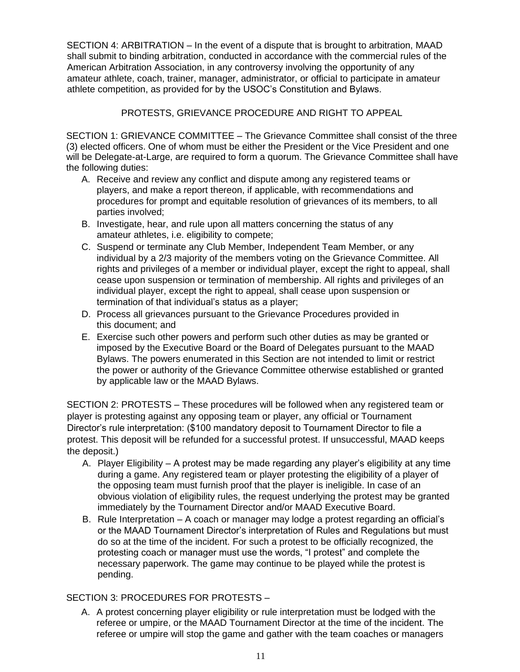SECTION 4: ARBITRATION – In the event of a dispute that is brought to arbitration, MAAD shall submit to binding arbitration, conducted in accordance with the commercial rules of the American Arbitration Association, in any controversy involving the opportunity of any amateur athlete, coach, trainer, manager, administrator, or official to participate in amateur athlete competition, as provided for by the USOC's Constitution and Bylaws.

PROTESTS, GRIEVANCE PROCEDURE AND RIGHT TO APPEAL

SECTION 1: GRIEVANCE COMMITTEE – The Grievance Committee shall consist of the three (3) elected officers. One of whom must be either the President or the Vice President and one will be Delegate-at-Large, are required to form a quorum. The Grievance Committee shall have the following duties:

- A. Receive and review any conflict and dispute among any registered teams or players, and make a report thereon, if applicable, with recommendations and procedures for prompt and equitable resolution of grievances of its members, to all parties involved;
- B. Investigate, hear, and rule upon all matters concerning the status of any amateur athletes, i.e. eligibility to compete;
- C. Suspend or terminate any Club Member, Independent Team Member, or any individual by a 2/3 majority of the members voting on the Grievance Committee. All rights and privileges of a member or individual player, except the right to appeal, shall cease upon suspension or termination of membership. All rights and privileges of an individual player, except the right to appeal, shall cease upon suspension or termination of that individual's status as a player;
- D. Process all grievances pursuant to the Grievance Procedures provided in this document; and
- E. Exercise such other powers and perform such other duties as may be granted or imposed by the Executive Board or the Board of Delegates pursuant to the MAAD Bylaws. The powers enumerated in this Section are not intended to limit or restrict the power or authority of the Grievance Committee otherwise established or granted by applicable law or the MAAD Bylaws.

SECTION 2: PROTESTS – These procedures will be followed when any registered team or player is protesting against any opposing team or player, any official or Tournament Director's rule interpretation: (\$100 mandatory deposit to Tournament Director to file a protest. This deposit will be refunded for a successful protest. If unsuccessful, MAAD keeps the deposit.)

- A. Player Eligibility A protest may be made regarding any player's eligibility at any time during a game. Any registered team or player protesting the eligibility of a player of the opposing team must furnish proof that the player is ineligible. In case of an obvious violation of eligibility rules, the request underlying the protest may be granted immediately by the Tournament Director and/or MAAD Executive Board.
- B. Rule Interpretation A coach or manager may lodge a protest regarding an official's or the MAAD Tournament Director's interpretation of Rules and Regulations but must do so at the time of the incident. For such a protest to be officially recognized, the protesting coach or manager must use the words, "I protest" and complete the necessary paperwork. The game may continue to be played while the protest is pending.

## SECTION 3: PROCEDURES FOR PROTESTS –

A. A protest concerning player eligibility or rule interpretation must be lodged with the referee or umpire, or the MAAD Tournament Director at the time of the incident. The referee or umpire will stop the game and gather with the team coaches or managers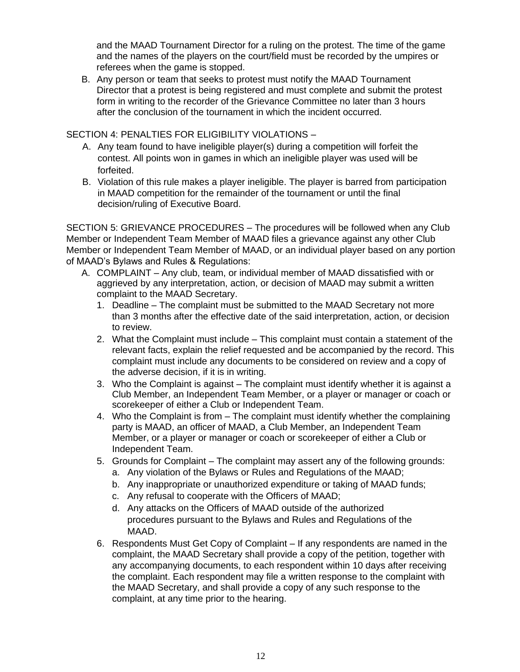and the MAAD Tournament Director for a ruling on the protest. The time of the game and the names of the players on the court/field must be recorded by the umpires or referees when the game is stopped.

B. Any person or team that seeks to protest must notify the MAAD Tournament Director that a protest is being registered and must complete and submit the protest form in writing to the recorder of the Grievance Committee no later than 3 hours after the conclusion of the tournament in which the incident occurred.

#### SECTION 4: PENALTIES FOR ELIGIBILITY VIOLATIONS –

- A. Any team found to have ineligible player(s) during a competition will forfeit the contest. All points won in games in which an ineligible player was used will be forfeited.
- B. Violation of this rule makes a player ineligible. The player is barred from participation in MAAD competition for the remainder of the tournament or until the final decision/ruling of Executive Board.

SECTION 5: GRIEVANCE PROCEDURES – The procedures will be followed when any Club Member or Independent Team Member of MAAD files a grievance against any other Club Member or Independent Team Member of MAAD, or an individual player based on any portion of MAAD's Bylaws and Rules & Regulations:

- A. COMPLAINT Any club, team, or individual member of MAAD dissatisfied with or aggrieved by any interpretation, action, or decision of MAAD may submit a written complaint to the MAAD Secretary.
	- 1. Deadline The complaint must be submitted to the MAAD Secretary not more than 3 months after the effective date of the said interpretation, action, or decision to review.
	- 2. What the Complaint must include This complaint must contain a statement of the relevant facts, explain the relief requested and be accompanied by the record. This complaint must include any documents to be considered on review and a copy of the adverse decision, if it is in writing.
	- 3. Who the Complaint is against The complaint must identify whether it is against a Club Member, an Independent Team Member, or a player or manager or coach or scorekeeper of either a Club or Independent Team.
	- 4. Who the Complaint is from The complaint must identify whether the complaining party is MAAD, an officer of MAAD, a Club Member, an Independent Team Member, or a player or manager or coach or scorekeeper of either a Club or Independent Team.
	- 5. Grounds for Complaint The complaint may assert any of the following grounds:
		- a. Any violation of the Bylaws or Rules and Regulations of the MAAD;
		- b. Any inappropriate or unauthorized expenditure or taking of MAAD funds;
		- c. Any refusal to cooperate with the Officers of MAAD;
		- d. Any attacks on the Officers of MAAD outside of the authorized procedures pursuant to the Bylaws and Rules and Regulations of the MAAD.
	- 6. Respondents Must Get Copy of Complaint If any respondents are named in the complaint, the MAAD Secretary shall provide a copy of the petition, together with any accompanying documents, to each respondent within 10 days after receiving the complaint. Each respondent may file a written response to the complaint with the MAAD Secretary, and shall provide a copy of any such response to the complaint, at any time prior to the hearing.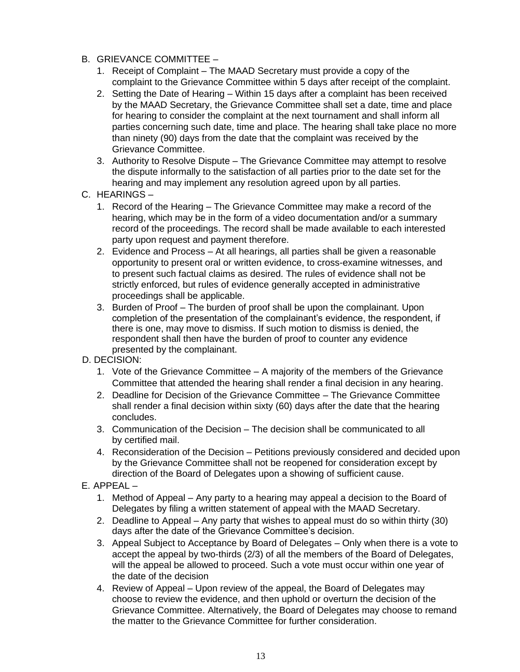- B. GRIEVANCE COMMITTEE
	- 1. Receipt of Complaint The MAAD Secretary must provide a copy of the complaint to the Grievance Committee within 5 days after receipt of the complaint.
	- 2. Setting the Date of Hearing Within 15 days after a complaint has been received by the MAAD Secretary, the Grievance Committee shall set a date, time and place for hearing to consider the complaint at the next tournament and shall inform all parties concerning such date, time and place. The hearing shall take place no more than ninety (90) days from the date that the complaint was received by the Grievance Committee.
	- 3. Authority to Resolve Dispute The Grievance Committee may attempt to resolve the dispute informally to the satisfaction of all parties prior to the date set for the hearing and may implement any resolution agreed upon by all parties.
- C. HEARINGS
	- 1. Record of the Hearing The Grievance Committee may make a record of the hearing, which may be in the form of a video documentation and/or a summary record of the proceedings. The record shall be made available to each interested party upon request and payment therefore.
	- 2. Evidence and Process At all hearings, all parties shall be given a reasonable opportunity to present oral or written evidence, to cross-examine witnesses, and to present such factual claims as desired. The rules of evidence shall not be strictly enforced, but rules of evidence generally accepted in administrative proceedings shall be applicable.
	- 3. Burden of Proof The burden of proof shall be upon the complainant. Upon completion of the presentation of the complainant's evidence, the respondent, if there is one, may move to dismiss. If such motion to dismiss is denied, the respondent shall then have the burden of proof to counter any evidence presented by the complainant.
- D. DECISION:
	- 1. Vote of the Grievance Committee A majority of the members of the Grievance Committee that attended the hearing shall render a final decision in any hearing.
	- 2. Deadline for Decision of the Grievance Committee The Grievance Committee shall render a final decision within sixty (60) days after the date that the hearing concludes.
	- 3. Communication of the Decision The decision shall be communicated to all by certified mail.
	- 4. Reconsideration of the Decision Petitions previously considered and decided upon by the Grievance Committee shall not be reopened for consideration except by direction of the Board of Delegates upon a showing of sufficient cause.
- E. APPEAL
	- 1. Method of Appeal Any party to a hearing may appeal a decision to the Board of Delegates by filing a written statement of appeal with the MAAD Secretary.
	- 2. Deadline to Appeal Any party that wishes to appeal must do so within thirty (30) days after the date of the Grievance Committee's decision.
	- 3. Appeal Subject to Acceptance by Board of Delegates Only when there is a vote to accept the appeal by two-thirds (2/3) of all the members of the Board of Delegates, will the appeal be allowed to proceed. Such a vote must occur within one year of the date of the decision
	- 4. Review of Appeal Upon review of the appeal, the Board of Delegates may choose to review the evidence, and then uphold or overturn the decision of the Grievance Committee. Alternatively, the Board of Delegates may choose to remand the matter to the Grievance Committee for further consideration.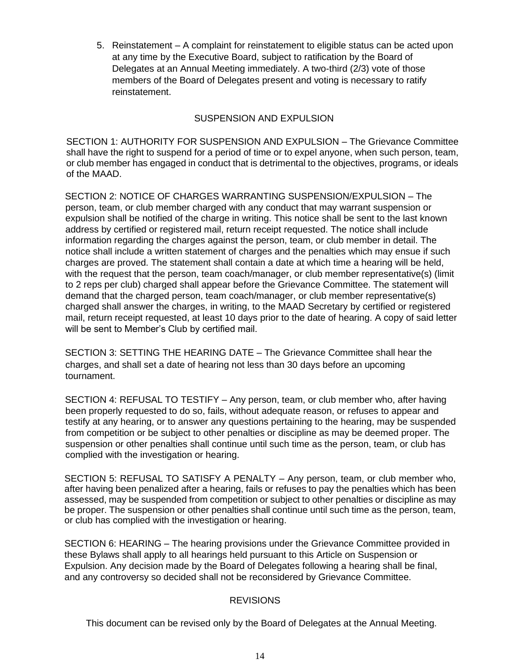5. Reinstatement – A complaint for reinstatement to eligible status can be acted upon at any time by the Executive Board, subject to ratification by the Board of Delegates at an Annual Meeting immediately. A two-third (2/3) vote of those members of the Board of Delegates present and voting is necessary to ratify reinstatement.

### SUSPENSION AND EXPULSION

SECTION 1: AUTHORITY FOR SUSPENSION AND EXPULSION – The Grievance Committee shall have the right to suspend for a period of time or to expel anyone, when such person, team, or club member has engaged in conduct that is detrimental to the objectives, programs, or ideals of the MAAD.

SECTION 2: NOTICE OF CHARGES WARRANTING SUSPENSION/EXPULSION – The person, team, or club member charged with any conduct that may warrant suspension or expulsion shall be notified of the charge in writing. This notice shall be sent to the last known address by certified or registered mail, return receipt requested. The notice shall include information regarding the charges against the person, team, or club member in detail. The notice shall include a written statement of charges and the penalties which may ensue if such charges are proved. The statement shall contain a date at which time a hearing will be held, with the request that the person, team coach/manager, or club member representative(s) (limit to 2 reps per club) charged shall appear before the Grievance Committee. The statement will demand that the charged person, team coach/manager, or club member representative(s) charged shall answer the charges, in writing, to the MAAD Secretary by certified or registered mail, return receipt requested, at least 10 days prior to the date of hearing. A copy of said letter will be sent to Member's Club by certified mail.

SECTION 3: SETTING THE HEARING DATE – The Grievance Committee shall hear the charges, and shall set a date of hearing not less than 30 days before an upcoming tournament.

SECTION 4: REFUSAL TO TESTIFY – Any person, team, or club member who, after having been properly requested to do so, fails, without adequate reason, or refuses to appear and testify at any hearing, or to answer any questions pertaining to the hearing, may be suspended from competition or be subject to other penalties or discipline as may be deemed proper. The suspension or other penalties shall continue until such time as the person, team, or club has complied with the investigation or hearing.

SECTION 5: REFUSAL TO SATISFY A PENALTY – Any person, team, or club member who, after having been penalized after a hearing, fails or refuses to pay the penalties which has been assessed, may be suspended from competition or subject to other penalties or discipline as may be proper. The suspension or other penalties shall continue until such time as the person, team, or club has complied with the investigation or hearing.

SECTION 6: HEARING – The hearing provisions under the Grievance Committee provided in these Bylaws shall apply to all hearings held pursuant to this Article on Suspension or Expulsion. Any decision made by the Board of Delegates following a hearing shall be final, and any controversy so decided shall not be reconsidered by Grievance Committee.

#### REVISIONS

This document can be revised only by the Board of Delegates at the Annual Meeting.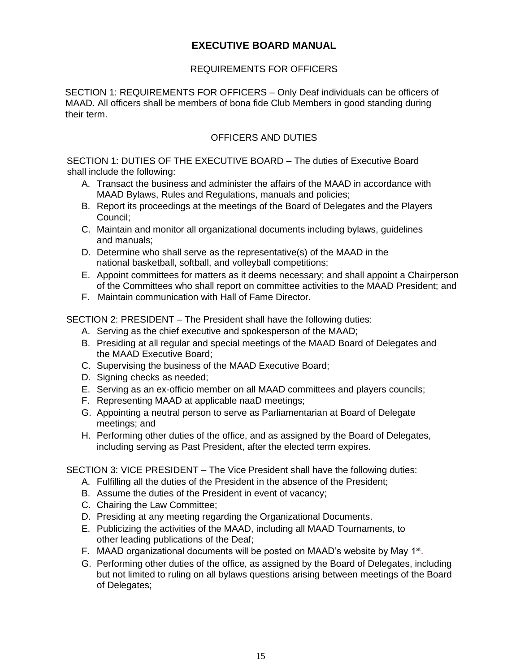# **EXECUTIVE BOARD MANUAL**

## REQUIREMENTS FOR OFFICERS

SECTION 1: REQUIREMENTS FOR OFFICERS – Only Deaf individuals can be officers of MAAD. All officers shall be members of bona fide Club Members in good standing during their term.

## OFFICERS AND DUTIES

SECTION 1: DUTIES OF THE EXECUTIVE BOARD – The duties of Executive Board shall include the following:

- A. Transact the business and administer the affairs of the MAAD in accordance with MAAD Bylaws, Rules and Regulations, manuals and policies;
- B. Report its proceedings at the meetings of the Board of Delegates and the Players Council;
- C. Maintain and monitor all organizational documents including bylaws, guidelines and manuals;
- D. Determine who shall serve as the representative(s) of the MAAD in the national basketball, softball, and volleyball competitions;
- E. Appoint committees for matters as it deems necessary; and shall appoint a Chairperson of the Committees who shall report on committee activities to the MAAD President; and
- F. Maintain communication with Hall of Fame Director.

SECTION 2: PRESIDENT – The President shall have the following duties:

- A. Serving as the chief executive and spokesperson of the MAAD;
- B. Presiding at all regular and special meetings of the MAAD Board of Delegates and the MAAD Executive Board;
- C. Supervising the business of the MAAD Executive Board;
- D. Signing checks as needed;
- E. Serving as an ex-officio member on all MAAD committees and players councils;
- F. Representing MAAD at applicable naaD meetings;
- G. Appointing a neutral person to serve as Parliamentarian at Board of Delegate meetings; and
- H. Performing other duties of the office, and as assigned by the Board of Delegates, including serving as Past President, after the elected term expires.

SECTION 3: VICE PRESIDENT – The Vice President shall have the following duties:

- A. Fulfilling all the duties of the President in the absence of the President;
- B. Assume the duties of the President in event of vacancy;
- C. Chairing the Law Committee;
- D. Presiding at any meeting regarding the Organizational Documents.
- E. Publicizing the activities of the MAAD, including all MAAD Tournaments, to other leading publications of the Deaf;
- F. MAAD organizational documents will be posted on MAAD's website by May 1<sup>st</sup>.
- G. Performing other duties of the office, as assigned by the Board of Delegates, including but not limited to ruling on all bylaws questions arising between meetings of the Board of Delegates;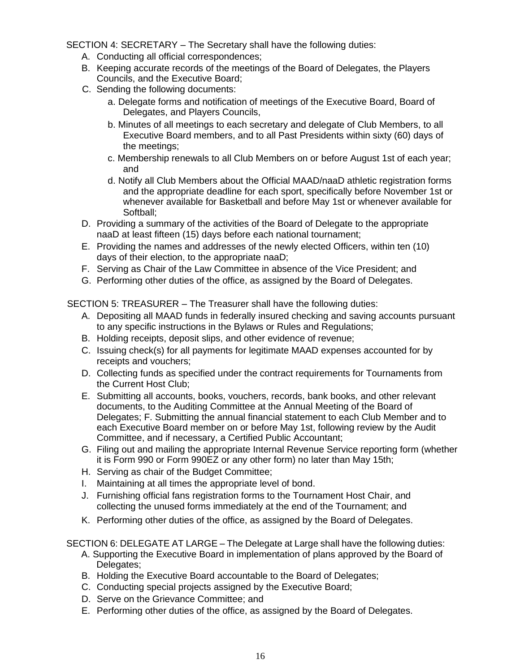SECTION 4: SECRETARY – The Secretary shall have the following duties:

- A. Conducting all official correspondences;
- B. Keeping accurate records of the meetings of the Board of Delegates, the Players Councils, and the Executive Board;
- C. Sending the following documents:
	- a. Delegate forms and notification of meetings of the Executive Board, Board of Delegates, and Players Councils,
	- b. Minutes of all meetings to each secretary and delegate of Club Members, to all Executive Board members, and to all Past Presidents within sixty (60) days of the meetings;
	- c. Membership renewals to all Club Members on or before August 1st of each year; and
	- d. Notify all Club Members about the Official MAAD/naaD athletic registration forms and the appropriate deadline for each sport, specifically before November 1st or whenever available for Basketball and before May 1st or whenever available for Softball;
- D. Providing a summary of the activities of the Board of Delegate to the appropriate naaD at least fifteen (15) days before each national tournament;
- E. Providing the names and addresses of the newly elected Officers, within ten (10) days of their election, to the appropriate naaD;
- F. Serving as Chair of the Law Committee in absence of the Vice President; and
- G. Performing other duties of the office, as assigned by the Board of Delegates.

SECTION 5: TREASURER – The Treasurer shall have the following duties:

- A. Depositing all MAAD funds in federally insured checking and saving accounts pursuant to any specific instructions in the Bylaws or Rules and Regulations;
- B. Holding receipts, deposit slips, and other evidence of revenue;
- C. Issuing check(s) for all payments for legitimate MAAD expenses accounted for by receipts and vouchers;
- D. Collecting funds as specified under the contract requirements for Tournaments from the Current Host Club;
- E. Submitting all accounts, books, vouchers, records, bank books, and other relevant documents, to the Auditing Committee at the Annual Meeting of the Board of Delegates; F. Submitting the annual financial statement to each Club Member and to each Executive Board member on or before May 1st, following review by the Audit Committee, and if necessary, a Certified Public Accountant;
- G. Filing out and mailing the appropriate Internal Revenue Service reporting form (whether it is Form 990 or Form 990EZ or any other form) no later than May 15th;
- H. Serving as chair of the Budget Committee;
- I. Maintaining at all times the appropriate level of bond.
- J. Furnishing official fans registration forms to the Tournament Host Chair, and collecting the unused forms immediately at the end of the Tournament; and
- K. Performing other duties of the office, as assigned by the Board of Delegates.

SECTION 6: DELEGATE AT LARGE – The Delegate at Large shall have the following duties:

- A. Supporting the Executive Board in implementation of plans approved by the Board of Delegates;
- B. Holding the Executive Board accountable to the Board of Delegates;
- C. Conducting special projects assigned by the Executive Board;
- D. Serve on the Grievance Committee; and
- E. Performing other duties of the office, as assigned by the Board of Delegates.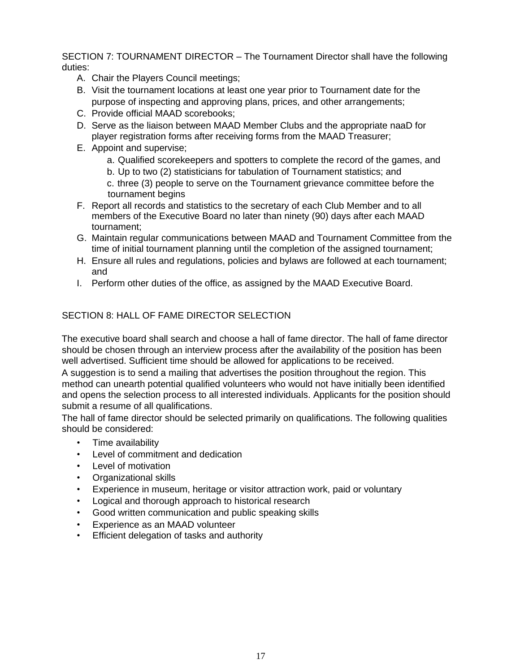SECTION 7: TOURNAMENT DIRECTOR – The Tournament Director shall have the following duties:

- A. Chair the Players Council meetings;
- B. Visit the tournament locations at least one year prior to Tournament date for the purpose of inspecting and approving plans, prices, and other arrangements;
- C. Provide official MAAD scorebooks;
- D. Serve as the liaison between MAAD Member Clubs and the appropriate naaD for player registration forms after receiving forms from the MAAD Treasurer;
- E. Appoint and supervise;
	- a. Qualified scorekeepers and spotters to complete the record of the games, and
	- b. Up to two (2) statisticians for tabulation of Tournament statistics; and

c. three (3) people to serve on the Tournament grievance committee before the tournament begins

- F. Report all records and statistics to the secretary of each Club Member and to all members of the Executive Board no later than ninety (90) days after each MAAD tournament;
- G. Maintain regular communications between MAAD and Tournament Committee from the time of initial tournament planning until the completion of the assigned tournament;
- H. Ensure all rules and regulations, policies and bylaws are followed at each tournament; and
- I. Perform other duties of the office, as assigned by the MAAD Executive Board.

### SECTION 8: HALL OF FAME DIRECTOR SELECTION

The executive board shall search and choose a hall of fame director. The hall of fame director should be chosen through an interview process after the availability of the position has been well advertised. Sufficient time should be allowed for applications to be received.

A suggestion is to send a mailing that advertises the position throughout the region. This method can unearth potential qualified volunteers who would not have initially been identified and opens the selection process to all interested individuals. Applicants for the position should submit a resume of all qualifications.

The hall of fame director should be selected primarily on qualifications. The following qualities should be considered:

- Time availability
- Level of commitment and dedication
- Level of motivation
- Organizational skills
- Experience in museum, heritage or visitor attraction work, paid or voluntary
- Logical and thorough approach to historical research
- Good written communication and public speaking skills
- Experience as an MAAD volunteer
- Efficient delegation of tasks and authority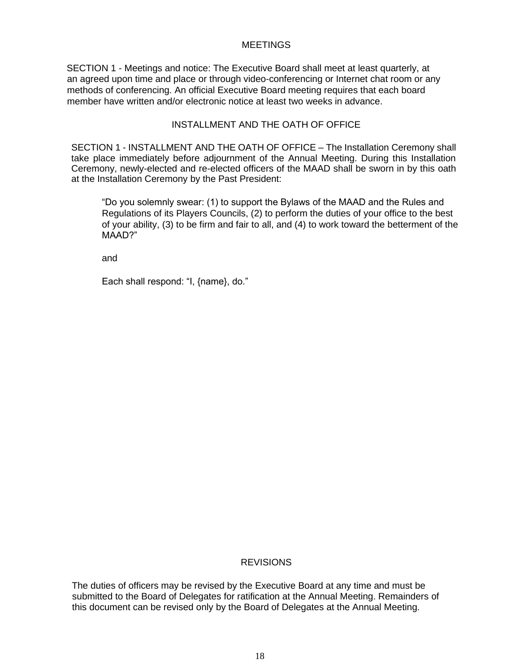#### **MEETINGS**

SECTION 1 - Meetings and notice: The Executive Board shall meet at least quarterly, at an agreed upon time and place or through video-conferencing or Internet chat room or any methods of conferencing. An official Executive Board meeting requires that each board member have written and/or electronic notice at least two weeks in advance.

#### INSTALLMENT AND THE OATH OF OFFICE

SECTION 1 - INSTALLMENT AND THE OATH OF OFFICE – The Installation Ceremony shall take place immediately before adjournment of the Annual Meeting. During this Installation Ceremony, newly-elected and re-elected officers of the MAAD shall be sworn in by this oath at the Installation Ceremony by the Past President:

"Do you solemnly swear: (1) to support the Bylaws of the MAAD and the Rules and Regulations of its Players Councils, (2) to perform the duties of your office to the best of your ability, (3) to be firm and fair to all, and (4) to work toward the betterment of the MAAD?"

and

Each shall respond: "I, {name}, do."

#### **REVISIONS**

The duties of officers may be revised by the Executive Board at any time and must be submitted to the Board of Delegates for ratification at the Annual Meeting. Remainders of this document can be revised only by the Board of Delegates at the Annual Meeting.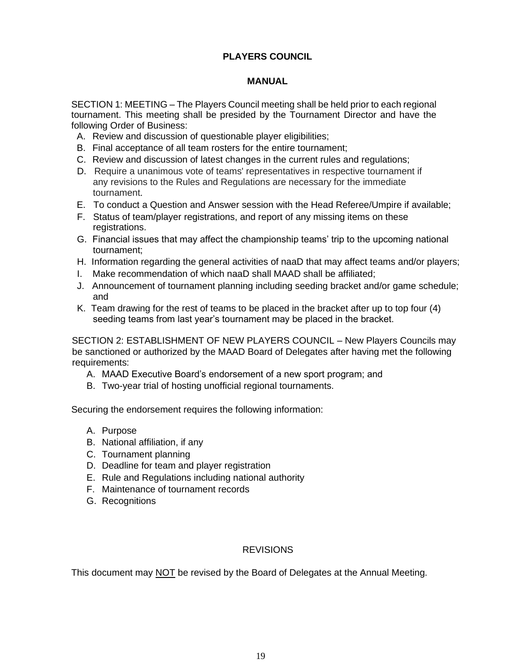## **PLAYERS COUNCIL**

### **MANUAL**

SECTION 1: MEETING – The Players Council meeting shall be held prior to each regional tournament. This meeting shall be presided by the Tournament Director and have the following Order of Business:

- A. Review and discussion of questionable player eligibilities;
- B. Final acceptance of all team rosters for the entire tournament;
- C. Review and discussion of latest changes in the current rules and regulations;
- D. Require a unanimous vote of teams' representatives in respective tournament if any revisions to the Rules and Regulations are necessary for the immediate tournament.
- E. To conduct a Question and Answer session with the Head Referee/Umpire if available;
- F. Status of team/player registrations, and report of any missing items on these registrations.
- G. Financial issues that may affect the championship teams' trip to the upcoming national tournament;
- H. Information regarding the general activities of naaD that may affect teams and/or players;
- I. Make recommendation of which naaD shall MAAD shall be affiliated;
- J. Announcement of tournament planning including seeding bracket and/or game schedule; and
- K. Team drawing for the rest of teams to be placed in the bracket after up to top four (4) seeding teams from last year's tournament may be placed in the bracket.

SECTION 2: ESTABLISHMENT OF NEW PLAYERS COUNCIL – New Players Councils may be sanctioned or authorized by the MAAD Board of Delegates after having met the following requirements:

- A. MAAD Executive Board's endorsement of a new sport program; and
- B. Two-year trial of hosting unofficial regional tournaments.

Securing the endorsement requires the following information:

- A. Purpose
- B. National affiliation, if any
- C. Tournament planning
- D. Deadline for team and player registration
- E. Rule and Regulations including national authority
- F. Maintenance of tournament records
- G. Recognitions

#### **REVISIONS**

This document may NOT be revised by the Board of Delegates at the Annual Meeting.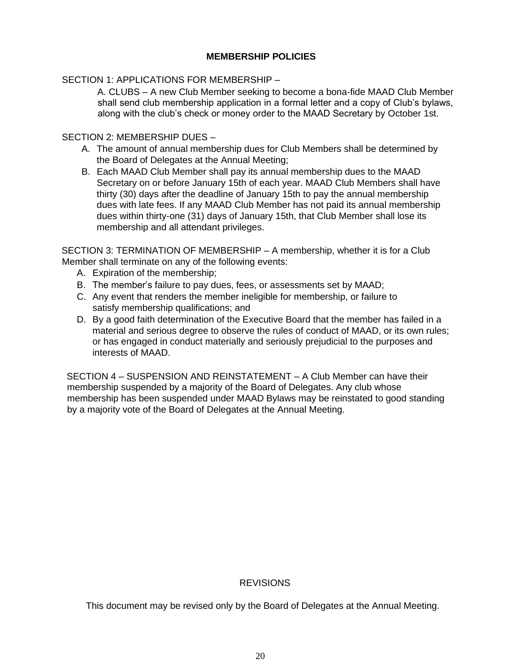### **MEMBERSHIP POLICIES**

#### SECTION 1: APPLICATIONS FOR MEMBERSHIP –

A. CLUBS – A new Club Member seeking to become a bona-fide MAAD Club Member shall send club membership application in a formal letter and a copy of Club's bylaws, along with the club's check or money order to the MAAD Secretary by October 1st.

#### SECTION 2: MEMBERSHIP DUES –

- A. The amount of annual membership dues for Club Members shall be determined by the Board of Delegates at the Annual Meeting;
- B. Each MAAD Club Member shall pay its annual membership dues to the MAAD Secretary on or before January 15th of each year. MAAD Club Members shall have thirty (30) days after the deadline of January 15th to pay the annual membership dues with late fees. If any MAAD Club Member has not paid its annual membership dues within thirty-one (31) days of January 15th, that Club Member shall lose its membership and all attendant privileges.

SECTION 3: TERMINATION OF MEMBERSHIP – A membership, whether it is for a Club Member shall terminate on any of the following events:

- A. Expiration of the membership;
- B. The member's failure to pay dues, fees, or assessments set by MAAD;
- C. Any event that renders the member ineligible for membership, or failure to satisfy membership qualifications; and
- D. By a good faith determination of the Executive Board that the member has failed in a material and serious degree to observe the rules of conduct of MAAD, or its own rules; or has engaged in conduct materially and seriously prejudicial to the purposes and interests of MAAD.

SECTION 4 – SUSPENSION AND REINSTATEMENT – A Club Member can have their membership suspended by a majority of the Board of Delegates. Any club whose membership has been suspended under MAAD Bylaws may be reinstated to good standing by a majority vote of the Board of Delegates at the Annual Meeting.

#### **REVISIONS**

This document may be revised only by the Board of Delegates at the Annual Meeting.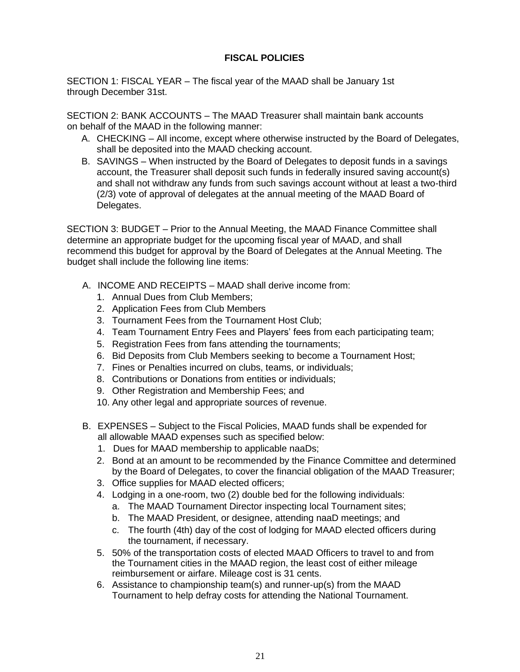## **FISCAL POLICIES**

SECTION 1: FISCAL YEAR – The fiscal year of the MAAD shall be January 1st through December 31st.

SECTION 2: BANK ACCOUNTS – The MAAD Treasurer shall maintain bank accounts on behalf of the MAAD in the following manner:

- A. CHECKING All income, except where otherwise instructed by the Board of Delegates, shall be deposited into the MAAD checking account.
- B. SAVINGS When instructed by the Board of Delegates to deposit funds in a savings account, the Treasurer shall deposit such funds in federally insured saving account(s) and shall not withdraw any funds from such savings account without at least a two-third (2/3) vote of approval of delegates at the annual meeting of the MAAD Board of Delegates.

SECTION 3: BUDGET – Prior to the Annual Meeting, the MAAD Finance Committee shall determine an appropriate budget for the upcoming fiscal year of MAAD, and shall recommend this budget for approval by the Board of Delegates at the Annual Meeting. The budget shall include the following line items:

- A. INCOME AND RECEIPTS MAAD shall derive income from:
	- 1. Annual Dues from Club Members;
	- 2. Application Fees from Club Members
	- 3. Tournament Fees from the Tournament Host Club;
	- 4. Team Tournament Entry Fees and Players' fees from each participating team;
	- 5. Registration Fees from fans attending the tournaments;
	- 6. Bid Deposits from Club Members seeking to become a Tournament Host;
	- 7. Fines or Penalties incurred on clubs, teams, or individuals;
	- 8. Contributions or Donations from entities or individuals;
	- 9. Other Registration and Membership Fees; and
	- 10. Any other legal and appropriate sources of revenue.
- B. EXPENSES Subject to the Fiscal Policies, MAAD funds shall be expended for all allowable MAAD expenses such as specified below:
	- 1. Dues for MAAD membership to applicable naaDs;
	- 2. Bond at an amount to be recommended by the Finance Committee and determined by the Board of Delegates, to cover the financial obligation of the MAAD Treasurer;
	- 3. Office supplies for MAAD elected officers;
	- 4. Lodging in a one-room, two (2) double bed for the following individuals:
		- a. The MAAD Tournament Director inspecting local Tournament sites;
		- b. The MAAD President, or designee, attending naaD meetings; and
		- c. The fourth (4th) day of the cost of lodging for MAAD elected officers during the tournament, if necessary.
	- 5. 50% of the transportation costs of elected MAAD Officers to travel to and from the Tournament cities in the MAAD region, the least cost of either mileage reimbursement or airfare. Mileage cost is 31 cents.
	- 6. Assistance to championship team(s) and runner-up(s) from the MAAD Tournament to help defray costs for attending the National Tournament.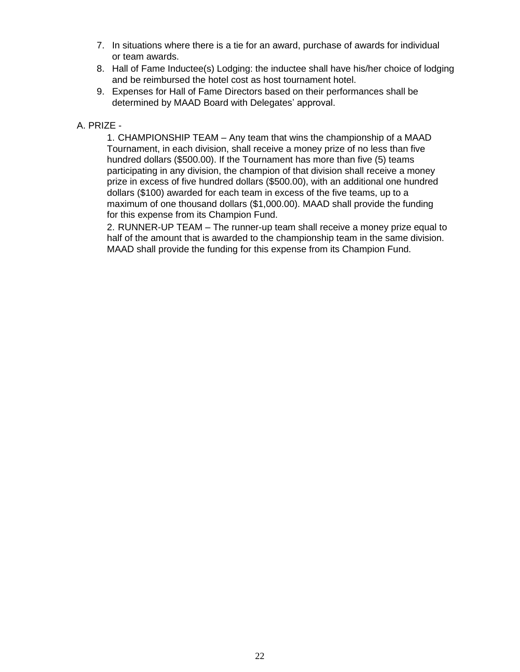- 7. In situations where there is a tie for an award, purchase of awards for individual or team awards.
- 8. Hall of Fame Inductee(s) Lodging: the inductee shall have his/her choice of lodging and be reimbursed the hotel cost as host tournament hotel.
- 9. Expenses for Hall of Fame Directors based on their performances shall be determined by MAAD Board with Delegates' approval.

### A. PRIZE -

1. CHAMPIONSHIP TEAM – Any team that wins the championship of a MAAD Tournament, in each division, shall receive a money prize of no less than five hundred dollars (\$500.00). If the Tournament has more than five (5) teams participating in any division, the champion of that division shall receive a money prize in excess of five hundred dollars (\$500.00), with an additional one hundred dollars (\$100) awarded for each team in excess of the five teams, up to a maximum of one thousand dollars (\$1,000.00). MAAD shall provide the funding for this expense from its Champion Fund.

2. RUNNER-UP TEAM – The runner-up team shall receive a money prize equal to half of the amount that is awarded to the championship team in the same division. MAAD shall provide the funding for this expense from its Champion Fund.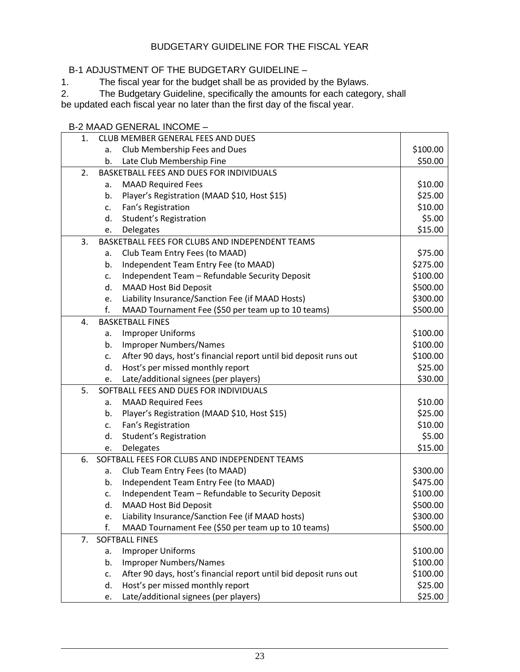### BUDGETARY GUIDELINE FOR THE FISCAL YEAR

## B-1 ADJUSTMENT OF THE BUDGETARY GUIDELINE –

1. The fiscal year for the budget shall be as provided by the Bylaws.

2. The Budgetary Guideline, specifically the amounts for each category, shall be updated each fiscal year no later than the first day of the fiscal year.

|    | <b>B-2 MAAD GENERAL INCOME -</b>                |                                                                   |          |  |  |  |  |
|----|-------------------------------------------------|-------------------------------------------------------------------|----------|--|--|--|--|
| 1. |                                                 | CLUB MEMBER GENERAL FEES AND DUES                                 |          |  |  |  |  |
|    | a.                                              | Club Membership Fees and Dues                                     |          |  |  |  |  |
|    | b.                                              | Late Club Membership Fine                                         | \$50.00  |  |  |  |  |
| 2. | BASKETBALL FEES AND DUES FOR INDIVIDUALS        |                                                                   |          |  |  |  |  |
|    | a.                                              | <b>MAAD Required Fees</b>                                         | \$10.00  |  |  |  |  |
|    | b.                                              | Player's Registration (MAAD \$10, Host \$15)                      | \$25.00  |  |  |  |  |
|    | c.                                              | Fan's Registration                                                | \$10.00  |  |  |  |  |
|    | d.                                              | Student's Registration                                            | \$5.00   |  |  |  |  |
|    | e.                                              | Delegates                                                         | \$15.00  |  |  |  |  |
| 3. | BASKETBALL FEES FOR CLUBS AND INDEPENDENT TEAMS |                                                                   |          |  |  |  |  |
|    | a.                                              | Club Team Entry Fees (to MAAD)                                    | \$75.00  |  |  |  |  |
|    | b.                                              | Independent Team Entry Fee (to MAAD)                              | \$275.00 |  |  |  |  |
|    | c.                                              | Independent Team - Refundable Security Deposit                    | \$100.00 |  |  |  |  |
|    | d.                                              | <b>MAAD Host Bid Deposit</b>                                      | \$500.00 |  |  |  |  |
|    | e.                                              | Liability Insurance/Sanction Fee (if MAAD Hosts)                  | \$300.00 |  |  |  |  |
|    | f.                                              | MAAD Tournament Fee (\$50 per team up to 10 teams)                | \$500.00 |  |  |  |  |
| 4. | <b>BASKETBALL FINES</b>                         |                                                                   |          |  |  |  |  |
|    | a.                                              | <b>Improper Uniforms</b>                                          | \$100.00 |  |  |  |  |
|    | b.                                              | <b>Improper Numbers/Names</b>                                     | \$100.00 |  |  |  |  |
|    | c.                                              | After 90 days, host's financial report until bid deposit runs out | \$100.00 |  |  |  |  |
|    | d.                                              | Host's per missed monthly report                                  | \$25.00  |  |  |  |  |
|    | e.                                              | Late/additional signees (per players)                             | \$30.00  |  |  |  |  |
| 5. |                                                 | SOFTBALL FEES AND DUES FOR INDIVIDUALS                            |          |  |  |  |  |
|    | a.                                              | <b>MAAD Required Fees</b>                                         | \$10.00  |  |  |  |  |
|    | b.                                              | Player's Registration (MAAD \$10, Host \$15)                      | \$25.00  |  |  |  |  |
|    | $\mathsf{c}$ .                                  | Fan's Registration                                                | \$10.00  |  |  |  |  |
|    | d.                                              | Student's Registration                                            | \$5.00   |  |  |  |  |
|    | e.                                              | Delegates                                                         | \$15.00  |  |  |  |  |
| 6. |                                                 | SOFTBALL FEES FOR CLUBS AND INDEPENDENT TEAMS                     |          |  |  |  |  |
|    | a.                                              | Club Team Entry Fees (to MAAD)                                    | \$300.00 |  |  |  |  |
|    | b.                                              | Independent Team Entry Fee (to MAAD)                              | \$475.00 |  |  |  |  |
|    | c.                                              | Independent Team - Refundable to Security Deposit                 | \$100.00 |  |  |  |  |
|    | d.                                              | <b>MAAD Host Bid Deposit</b>                                      | \$500.00 |  |  |  |  |
|    | e.                                              | Liability Insurance/Sanction Fee (if MAAD hosts)                  | \$300.00 |  |  |  |  |
|    | f.                                              | MAAD Tournament Fee (\$50 per team up to 10 teams)                | \$500.00 |  |  |  |  |
| 7. | <b>SOFTBALL FINES</b>                           |                                                                   |          |  |  |  |  |
|    | a.                                              | <b>Improper Uniforms</b>                                          | \$100.00 |  |  |  |  |
|    | b.                                              | <b>Improper Numbers/Names</b>                                     | \$100.00 |  |  |  |  |
|    | c.                                              | After 90 days, host's financial report until bid deposit runs out | \$100.00 |  |  |  |  |
|    | d.                                              | Host's per missed monthly report                                  | \$25.00  |  |  |  |  |
|    | e.                                              | Late/additional signees (per players)                             | \$25.00  |  |  |  |  |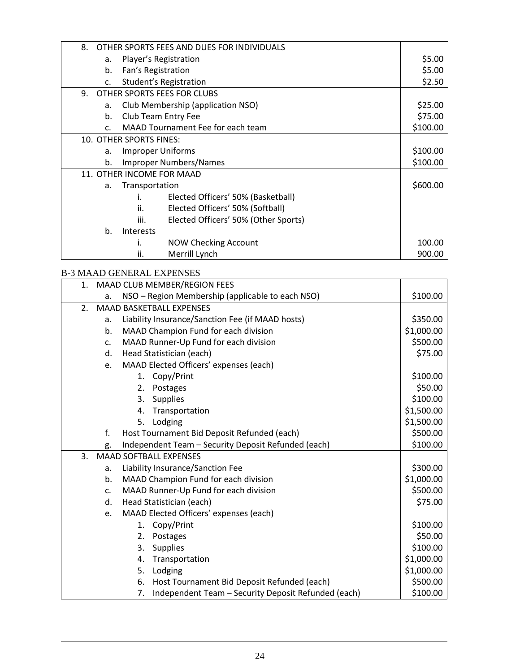| 8.                             | OTHER SPORTS FEES AND DUES FOR INDIVIDUALS   |         |  |  |
|--------------------------------|----------------------------------------------|---------|--|--|
| а.                             | Player's Registration                        | \$5.00  |  |  |
| b.                             | Fan's Registration                           | \$5.00  |  |  |
| c.                             | Student's Registration                       | \$2.50  |  |  |
| 9. OTHER SPORTS FEES FOR CLUBS |                                              |         |  |  |
| a.                             | Club Membership (application NSO)            | \$25.00 |  |  |
| b.                             | Club Team Entry Fee                          |         |  |  |
| $\mathsf{C}$ .                 | MAAD Tournament Fee for each team            |         |  |  |
| 10. OTHER SPORTS FINES:        |                                              |         |  |  |
| a.                             | <b>Improper Uniforms</b>                     |         |  |  |
| b.                             | <b>Improper Numbers/Names</b>                |         |  |  |
| 11. OTHER INCOME FOR MAAD      |                                              |         |  |  |
| a.                             | Transportation                               |         |  |  |
|                                | Elected Officers' 50% (Basketball)<br>i.     |         |  |  |
|                                | ii.<br>Elected Officers' 50% (Softball)      |         |  |  |
|                                | iii.<br>Elected Officers' 50% (Other Sports) |         |  |  |
| b.                             | <b>Interests</b>                             |         |  |  |
|                                | <b>NOW Checking Account</b><br>i.            | 100.00  |  |  |
|                                | ii.<br>Merrill Lynch                         | 900.00  |  |  |

### B-3 MAAD GENERAL EXPENSES

| 1. | MAAD CLUB MEMBER/REGION FEES    |                                                           |            |  |
|----|---------------------------------|-----------------------------------------------------------|------------|--|
|    | a.                              | NSO - Region Membership (applicable to each NSO)          | \$100.00   |  |
| 2. | <b>MAAD BASKETBALL EXPENSES</b> |                                                           |            |  |
|    | a.                              | Liability Insurance/Sanction Fee (if MAAD hosts)          | \$350.00   |  |
|    | b.                              | MAAD Champion Fund for each division                      | \$1,000.00 |  |
|    | c.                              | MAAD Runner-Up Fund for each division                     | \$500.00   |  |
|    | d.                              | Head Statistician (each)                                  | \$75.00    |  |
|    | e.                              | MAAD Elected Officers' expenses (each)                    |            |  |
|    |                                 | 1. Copy/Print                                             | \$100.00   |  |
|    |                                 | 2.<br>Postages                                            | \$50.00    |  |
|    |                                 | 3.<br><b>Supplies</b>                                     | \$100.00   |  |
|    |                                 | Transportation<br>4.                                      | \$1,500.00 |  |
|    |                                 | 5.<br>Lodging                                             | \$1,500.00 |  |
|    | f.                              | Host Tournament Bid Deposit Refunded (each)               | \$500.00   |  |
|    | g.                              | Independent Team - Security Deposit Refunded (each)       | \$100.00   |  |
| 3. |                                 | <b>MAAD SOFTBALL EXPENSES</b>                             |            |  |
|    | a.                              | Liability Insurance/Sanction Fee                          | \$300.00   |  |
|    | b.                              | MAAD Champion Fund for each division                      | \$1,000.00 |  |
|    | C <sub>1</sub>                  | MAAD Runner-Up Fund for each division                     | \$500.00   |  |
|    | d.                              | Head Statistician (each)                                  | \$75.00    |  |
|    | e.                              | MAAD Elected Officers' expenses (each)                    |            |  |
|    |                                 | Copy/Print<br>1.                                          | \$100.00   |  |
|    |                                 | 2.<br>Postages                                            | \$50.00    |  |
|    |                                 | <b>Supplies</b><br>3.                                     | \$100.00   |  |
|    |                                 | Transportation<br>4.                                      | \$1,000.00 |  |
|    |                                 | Lodging<br>5.                                             | \$1,000.00 |  |
|    |                                 | Host Tournament Bid Deposit Refunded (each)<br>6.         | \$500.00   |  |
|    |                                 | Independent Team - Security Deposit Refunded (each)<br>7. | \$100.00   |  |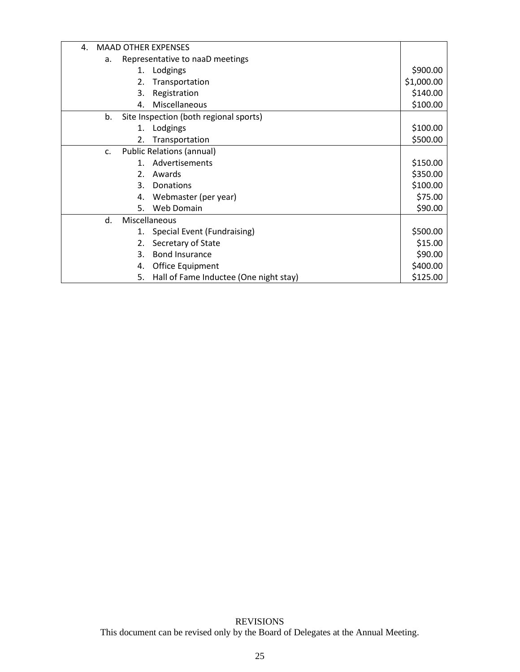| 4.                                           | <b>MAAD OTHER EXPENSES</b>                         |         |                                        |            |
|----------------------------------------------|----------------------------------------------------|---------|----------------------------------------|------------|
|                                              | Representative to naaD meetings<br>a.              |         |                                        |            |
|                                              |                                                    | 1.      | Lodgings                               | \$900.00   |
|                                              |                                                    | 2.      | Transportation                         | \$1,000.00 |
|                                              |                                                    | 3.      | Registration                           | \$140.00   |
|                                              |                                                    | 4.      | Miscellaneous                          | \$100.00   |
| Site Inspection (both regional sports)<br>b. |                                                    |         |                                        |            |
|                                              |                                                    | 1.      | Lodgings                               | \$100.00   |
|                                              |                                                    | 2.      | Transportation                         | \$500.00   |
|                                              | <b>Public Relations (annual)</b><br>C <sub>1</sub> |         |                                        |            |
|                                              |                                                    | $1_{-}$ | Advertisements                         | \$150.00   |
|                                              |                                                    | $2_{-}$ | Awards                                 | \$350.00   |
|                                              |                                                    | 3.      | Donations                              | \$100.00   |
|                                              |                                                    | 4.      | Webmaster (per year)                   | \$75.00    |
|                                              |                                                    | 5.      | Web Domain                             | \$90.00    |
|                                              | Miscellaneous<br>d.                                |         |                                        |            |
|                                              |                                                    | 1.      | Special Event (Fundraising)            | \$500.00   |
|                                              |                                                    |         | Secretary of State                     | \$15.00    |
|                                              |                                                    | 3.      | <b>Bond Insurance</b>                  | \$90.00    |
|                                              |                                                    | 4.      | Office Equipment                       | \$400.00   |
|                                              |                                                    | 5.      | Hall of Fame Inductee (One night stay) | \$125.00   |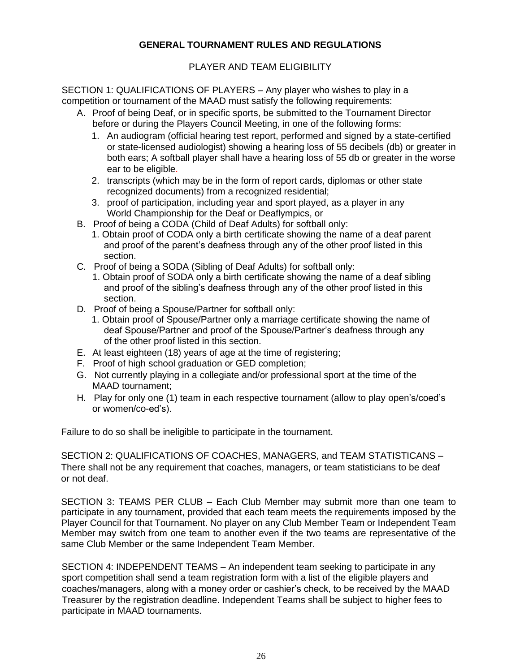### **GENERAL TOURNAMENT RULES AND REGULATIONS**

### PLAYER AND TEAM ELIGIBILITY

SECTION 1: QUALIFICATIONS OF PLAYERS – Any player who wishes to play in a competition or tournament of the MAAD must satisfy the following requirements:

- A. Proof of being Deaf, or in specific sports, be submitted to the Tournament Director before or during the Players Council Meeting, in one of the following forms:
	- 1. An audiogram (official hearing test report, performed and signed by a state-certified or state-licensed audiologist) showing a hearing loss of 55 decibels (db) or greater in both ears; A softball player shall have a hearing loss of 55 db or greater in the worse ear to be eligible.
	- 2. transcripts (which may be in the form of report cards, diplomas or other state recognized documents) from a recognized residential;
	- 3. proof of participation, including year and sport played, as a player in any World Championship for the Deaf or Deaflympics, or
- B. Proof of being a CODA (Child of Deaf Adults) for softball only:
	- 1. Obtain proof of CODA only a birth certificate showing the name of a deaf parent and proof of the parent's deafness through any of the other proof listed in this section.
- C. Proof of being a SODA (Sibling of Deaf Adults) for softball only:
	- 1. Obtain proof of SODA only a birth certificate showing the name of a deaf sibling and proof of the sibling's deafness through any of the other proof listed in this section.
- D. Proof of being a Spouse/Partner for softball only:
	- 1. Obtain proof of Spouse/Partner only a marriage certificate showing the name of deaf Spouse/Partner and proof of the Spouse/Partner's deafness through any of the other proof listed in this section.
- E. At least eighteen (18) years of age at the time of registering;
- F. Proof of high school graduation or GED completion;
- G. Not currently playing in a collegiate and/or professional sport at the time of the MAAD tournament;
- H. Play for only one (1) team in each respective tournament (allow to play open's/coed's or women/co-ed's).

Failure to do so shall be ineligible to participate in the tournament.

SECTION 2: QUALIFICATIONS OF COACHES, MANAGERS, and TEAM STATISTICANS – There shall not be any requirement that coaches, managers, or team statisticians to be deaf or not deaf.

SECTION 3: TEAMS PER CLUB – Each Club Member may submit more than one team to participate in any tournament, provided that each team meets the requirements imposed by the Player Council for that Tournament. No player on any Club Member Team or Independent Team Member may switch from one team to another even if the two teams are representative of the same Club Member or the same Independent Team Member.

SECTION 4: INDEPENDENT TEAMS – An independent team seeking to participate in any sport competition shall send a team registration form with a list of the eligible players and coaches/managers, along with a money order or cashier's check, to be received by the MAAD Treasurer by the registration deadline. Independent Teams shall be subject to higher fees to participate in MAAD tournaments.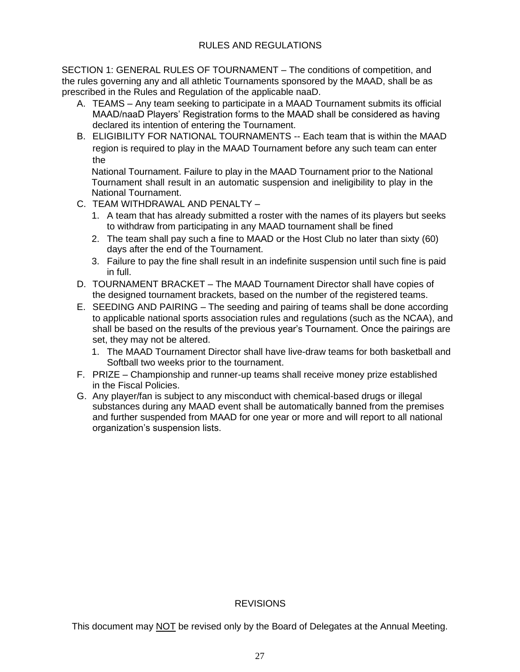SECTION 1: GENERAL RULES OF TOURNAMENT – The conditions of competition, and the rules governing any and all athletic Tournaments sponsored by the MAAD, shall be as prescribed in the Rules and Regulation of the applicable naaD.

- A. TEAMS Any team seeking to participate in a MAAD Tournament submits its official MAAD/naaD Players' Registration forms to the MAAD shall be considered as having declared its intention of entering the Tournament.
- B. ELIGIBILITY FOR NATIONAL TOURNAMENTS -- Each team that is within the MAAD region is required to play in the MAAD Tournament before any such team can enter the

National Tournament. Failure to play in the MAAD Tournament prior to the National Tournament shall result in an automatic suspension and ineligibility to play in the National Tournament.

- C. TEAM WITHDRAWAL AND PENALTY
	- 1. A team that has already submitted a roster with the names of its players but seeks to withdraw from participating in any MAAD tournament shall be fined
	- 2. The team shall pay such a fine to MAAD or the Host Club no later than sixty (60) days after the end of the Tournament.
	- 3. Failure to pay the fine shall result in an indefinite suspension until such fine is paid in full.
- D. TOURNAMENT BRACKET The MAAD Tournament Director shall have copies of the designed tournament brackets, based on the number of the registered teams.
- E. SEEDING AND PAIRING The seeding and pairing of teams shall be done according to applicable national sports association rules and regulations (such as the NCAA), and shall be based on the results of the previous year's Tournament. Once the pairings are set, they may not be altered.
	- 1. The MAAD Tournament Director shall have live-draw teams for both basketball and Softball two weeks prior to the tournament.
- F. PRIZE Championship and runner-up teams shall receive money prize established in the Fiscal Policies.
- G. Any player/fan is subject to any misconduct with chemical-based drugs or illegal substances during any MAAD event shall be automatically banned from the premises and further suspended from MAAD for one year or more and will report to all national organization's suspension lists.

#### REVISIONS

This document may NOT be revised only by the Board of Delegates at the Annual Meeting.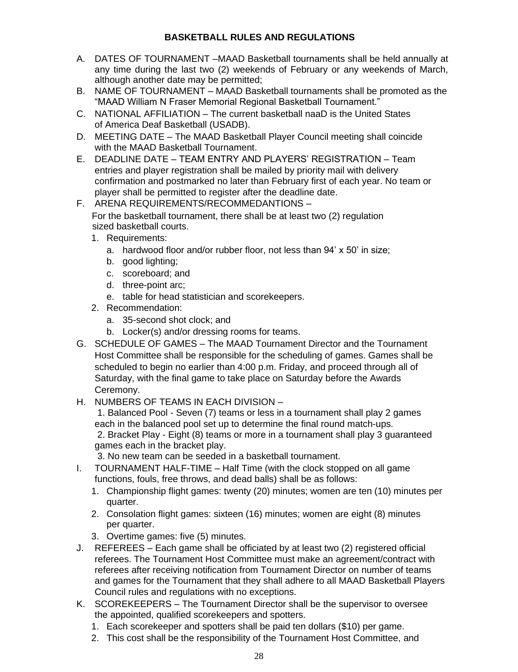## **BASKETBALL RULES AND REGULATIONS**

- A. DATES OF TOURNAMENT –MAAD Basketball tournaments shall be held annually at any time during the last two (2) weekends of February or any weekends of March, although another date may be permitted;
- B. NAME OF TOURNAMENT MAAD Basketball tournaments shall be promoted as the "MAAD William N Fraser Memorial Regional Basketball Tournament."
- C. NATIONAL AFFILIATION The current basketball naaD is the United States of America Deaf Basketball (USADB).
- D. MEETING DATE The MAAD Basketball Player Council meeting shall coincide with the MAAD Basketball Tournament.
- E. DEADLINE DATE TEAM ENTRY AND PLAYERS' REGISTRATION Team entries and player registration shall be mailed by priority mail with delivery confirmation and postmarked no later than February first of each year. No team or player shall be permitted to register after the deadline date.
- F. ARENA REQUIREMENTS/RECOMMEDANTIONS For the basketball tournament, there shall be at least two (2) regulation sized basketball courts.
	- 1. Requirements:
		- a. hardwood floor and/or rubber floor, not less than 94' x 50' in size;
		- b. good lighting;
		- c. scoreboard; and
		- d. three-point arc;
		- e. table for head statistician and scorekeepers.
	- 2. Recommendation:
		- a. 35-second shot clock; and
		- b. Locker(s) and/or dressing rooms for teams.
- G. SCHEDULE OF GAMES The MAAD Tournament Director and the Tournament Host Committee shall be responsible for the scheduling of games. Games shall be scheduled to begin no earlier than 4:00 p.m. Friday, and proceed through all of Saturday, with the final game to take place on Saturday before the Awards Ceremony.
- H. NUMBERS OF TEAMS IN EACH DIVISION –

1. Balanced Pool - Seven (7) teams or less in a tournament shall play 2 games each in the balanced pool set up to determine the final round match-ups. 2. Bracket Play - Eight (8) teams or more in a tournament shall play 3 guaranteed games each in the bracket play.

3. No new team can be seeded in a basketball tournament.

- I. TOURNAMENT HALF-TIME Half Time (with the clock stopped on all game functions, fouls, free throws, and dead balls) shall be as follows:
	- 1. Championship flight games: twenty (20) minutes; women are ten (10) minutes per quarter.
	- 2. Consolation flight games: sixteen (16) minutes; women are eight (8) minutes per quarter.
	- 3. Overtime games: five (5) minutes.
- J. REFEREES Each game shall be officiated by at least two (2) registered official referees. The Tournament Host Committee must make an agreement/contract with referees after receiving notification from Tournament Director on number of teams and games for the Tournament that they shall adhere to all MAAD Basketball Players Council rules and regulations with no exceptions.
- K. SCOREKEEPERS The Tournament Director shall be the supervisor to oversee the appointed, qualified scorekeepers and spotters.
	- 1. Each scorekeeper and spotters shall be paid ten dollars (\$10) per game.
	- 2. This cost shall be the responsibility of the Tournament Host Committee, and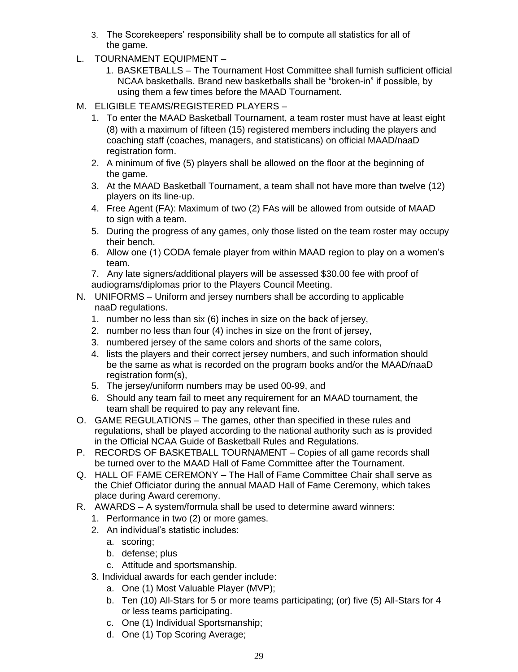- 3. The Scorekeepers' responsibility shall be to compute all statistics for all of the game.
- L. TOURNAMENT EQUIPMENT
	- 1. BASKETBALLS The Tournament Host Committee shall furnish sufficient official NCAA basketballs. Brand new basketballs shall be "broken-in" if possible, by using them a few times before the MAAD Tournament.
- M. ELIGIBLE TEAMS/REGISTERED PLAYERS
	- 1. To enter the MAAD Basketball Tournament, a team roster must have at least eight (8) with a maximum of fifteen (15) registered members including the players and coaching staff (coaches, managers, and statisticans) on official MAAD/naaD registration form.
	- 2. A minimum of five (5) players shall be allowed on the floor at the beginning of the game.
	- 3. At the MAAD Basketball Tournament, a team shall not have more than twelve (12) players on its line-up.
	- 4. Free Agent (FA): Maximum of two (2) FAs will be allowed from outside of MAAD to sign with a team.
	- 5. During the progress of any games, only those listed on the team roster may occupy their bench.
	- 6. Allow one (1) CODA female player from within MAAD region to play on a women's team.
	- 7. Any late signers/additional players will be assessed \$30.00 fee with proof of audiograms/diplomas prior to the Players Council Meeting.
- N. UNIFORMS Uniform and jersey numbers shall be according to applicable naaD regulations.
	- 1. number no less than six (6) inches in size on the back of jersey,
	- 2. number no less than four (4) inches in size on the front of jersey,
	- 3. numbered jersey of the same colors and shorts of the same colors,
	- 4. lists the players and their correct jersey numbers, and such information should be the same as what is recorded on the program books and/or the MAAD/naaD registration form(s),
	- 5. The jersey/uniform numbers may be used 00-99, and
	- 6. Should any team fail to meet any requirement for an MAAD tournament, the team shall be required to pay any relevant fine.
- O. GAME REGULATIONS The games, other than specified in these rules and regulations, shall be played according to the national authority such as is provided in the Official NCAA Guide of Basketball Rules and Regulations.
- P. RECORDS OF BASKETBALL TOURNAMENT Copies of all game records shall be turned over to the MAAD Hall of Fame Committee after the Tournament.
- Q. HALL OF FAME CEREMONY The Hall of Fame Committee Chair shall serve as the Chief Officiator during the annual MAAD Hall of Fame Ceremony, which takes place during Award ceremony.
- R. AWARDS A system/formula shall be used to determine award winners:
	- 1. Performance in two (2) or more games.
	- 2. An individual's statistic includes:
		- a. scoring;
		- b. defense; plus
		- c. Attitude and sportsmanship.
	- 3. Individual awards for each gender include:
		- a. One (1) Most Valuable Player (MVP);
		- b. Ten (10) All-Stars for 5 or more teams participating; (or) five (5) All-Stars for 4 or less teams participating.
		- c. One (1) Individual Sportsmanship;
		- d. One (1) Top Scoring Average;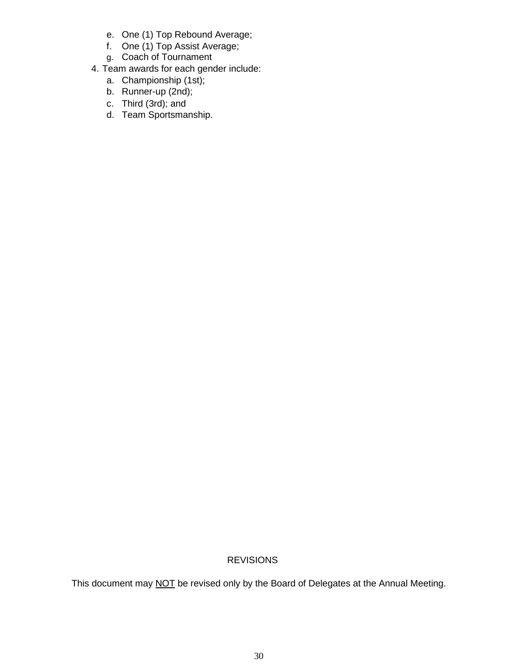- e. One (1) Top Rebound Average;
- f. One (1) Top Assist Average;
- g. Coach of Tournament
- 4. Team awards for each gender include:
	- a. Championship (1st);
	- b. Runner-up (2nd);
	- c. Third (3rd); and
	- d. Team Sportsmanship.

### REVISIONS

This document may NOT be revised only by the Board of Delegates at the Annual Meeting.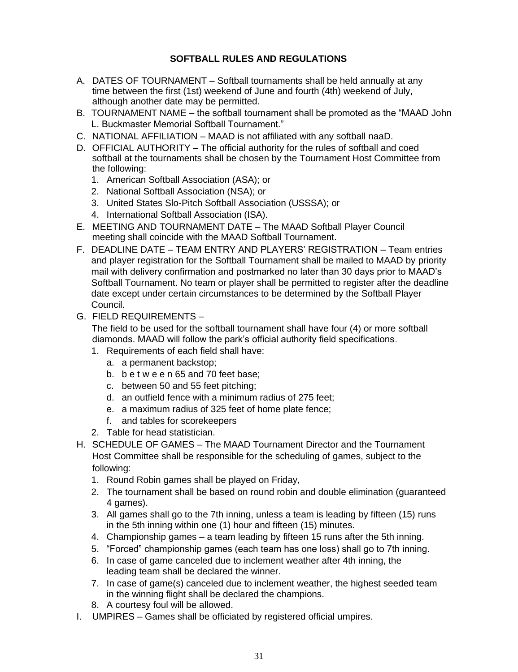## **SOFTBALL RULES AND REGULATIONS**

- A. DATES OF TOURNAMENT Softball tournaments shall be held annually at any time between the first (1st) weekend of June and fourth (4th) weekend of July, although another date may be permitted.
- B. TOURNAMENT NAME the softball tournament shall be promoted as the "MAAD John L. Buckmaster Memorial Softball Tournament."
- C. NATIONAL AFFILIATION MAAD is not affiliated with any softball naaD.
- D. OFFICIAL AUTHORITY The official authority for the rules of softball and coed softball at the tournaments shall be chosen by the Tournament Host Committee from the following:
	- 1. American Softball Association (ASA); or
	- 2. National Softball Association (NSA); or
	- 3. United States Slo-Pitch Softball Association (USSSA); or
	- 4. International Softball Association (ISA).
- E. MEETING AND TOURNAMENT DATE The MAAD Softball Player Council meeting shall coincide with the MAAD Softball Tournament.
- F. DEADLINE DATE TEAM ENTRY AND PLAYERS' REGISTRATION Team entries and player registration for the Softball Tournament shall be mailed to MAAD by priority mail with delivery confirmation and postmarked no later than 30 days prior to MAAD's Softball Tournament. No team or player shall be permitted to register after the deadline date except under certain circumstances to be determined by the Softball Player Council.
- G. FIELD REQUIREMENTS –

The field to be used for the softball tournament shall have four (4) or more softball diamonds. MAAD will follow the park's official authority field specifications.

- 1. Requirements of each field shall have:
	- a. a permanent backstop;
	- b. b e t w e e n 65 and 70 feet base;
	- c. between 50 and 55 feet pitching;
	- d. an outfield fence with a minimum radius of 275 feet;
	- e. a maximum radius of 325 feet of home plate fence;
	- f. and tables for scorekeepers
- 2. Table for head statistician.
- H. SCHEDULE OF GAMES The MAAD Tournament Director and the Tournament Host Committee shall be responsible for the scheduling of games, subject to the following:
	- 1. Round Robin games shall be played on Friday,
	- 2. The tournament shall be based on round robin and double elimination (guaranteed 4 games).
	- 3. All games shall go to the 7th inning, unless a team is leading by fifteen (15) runs in the 5th inning within one (1) hour and fifteen (15) minutes.
	- 4. Championship games a team leading by fifteen 15 runs after the 5th inning.
	- 5. "Forced" championship games (each team has one loss) shall go to 7th inning.
	- 6. In case of game canceled due to inclement weather after 4th inning, the leading team shall be declared the winner.
	- 7. In case of game(s) canceled due to inclement weather, the highest seeded team in the winning flight shall be declared the champions.
	- 8. A courtesy foul will be allowed.
- I. UMPIRES Games shall be officiated by registered official umpires.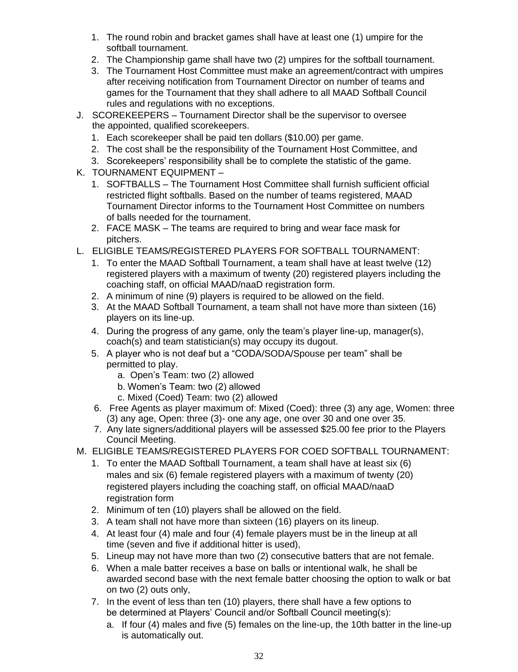- 1. The round robin and bracket games shall have at least one (1) umpire for the softball tournament.
- 2. The Championship game shall have two (2) umpires for the softball tournament.
- 3. The Tournament Host Committee must make an agreement/contract with umpires after receiving notification from Tournament Director on number of teams and games for the Tournament that they shall adhere to all MAAD Softball Council rules and regulations with no exceptions.
- J. SCOREKEEPERS Tournament Director shall be the supervisor to oversee the appointed, qualified scorekeepers.
	- 1. Each scorekeeper shall be paid ten dollars (\$10.00) per game.
	- 2. The cost shall be the responsibility of the Tournament Host Committee, and
	- 3. Scorekeepers' responsibility shall be to complete the statistic of the game.
- K. TOURNAMENT EQUIPMENT
	- 1. SOFTBALLS The Tournament Host Committee shall furnish sufficient official restricted flight softballs. Based on the number of teams registered, MAAD Tournament Director informs to the Tournament Host Committee on numbers of balls needed for the tournament.
	- 2. FACE MASK The teams are required to bring and wear face mask for pitchers.
- L. ELIGIBLE TEAMS/REGISTERED PLAYERS FOR SOFTBALL TOURNAMENT:
	- 1. To enter the MAAD Softball Tournament, a team shall have at least twelve (12) registered players with a maximum of twenty (20) registered players including the coaching staff, on official MAAD/naaD registration form.
	- 2. A minimum of nine (9) players is required to be allowed on the field.
	- 3. At the MAAD Softball Tournament, a team shall not have more than sixteen (16) players on its line-up.
	- 4. During the progress of any game, only the team's player line-up, manager(s), coach(s) and team statistician(s) may occupy its dugout.
	- 5. A player who is not deaf but a "CODA/SODA/Spouse per team" shall be permitted to play.
		- a. Open's Team: two (2) allowed
		- b. Women's Team: two (2) allowed
		- c. Mixed (Coed) Team: two (2) allowed
	- 6. Free Agents as player maximum of: Mixed (Coed): three (3) any age, Women: three (3) any age, Open: three (3)- one any age, one over 30 and one over 35.
	- 7. Any late signers/additional players will be assessed \$25.00 fee prior to the Players Council Meeting.
- M. ELIGIBLE TEAMS/REGISTERED PLAYERS FOR COED SOFTBALL TOURNAMENT:
	- 1. To enter the MAAD Softball Tournament, a team shall have at least six (6) males and six (6) female registered players with a maximum of twenty (20) registered players including the coaching staff, on official MAAD/naaD registration form
	- 2. Minimum of ten (10) players shall be allowed on the field.
	- 3. A team shall not have more than sixteen (16) players on its lineup.
	- 4. At least four (4) male and four (4) female players must be in the lineup at all time (seven and five if additional hitter is used),
	- 5. Lineup may not have more than two (2) consecutive batters that are not female.
	- 6. When a male batter receives a base on balls or intentional walk, he shall be awarded second base with the next female batter choosing the option to walk or bat on two (2) outs only,
	- 7. In the event of less than ten (10) players, there shall have a few options to be determined at Players' Council and/or Softball Council meeting(s):
		- a. If four (4) males and five (5) females on the line-up, the 10th batter in the line-up is automatically out.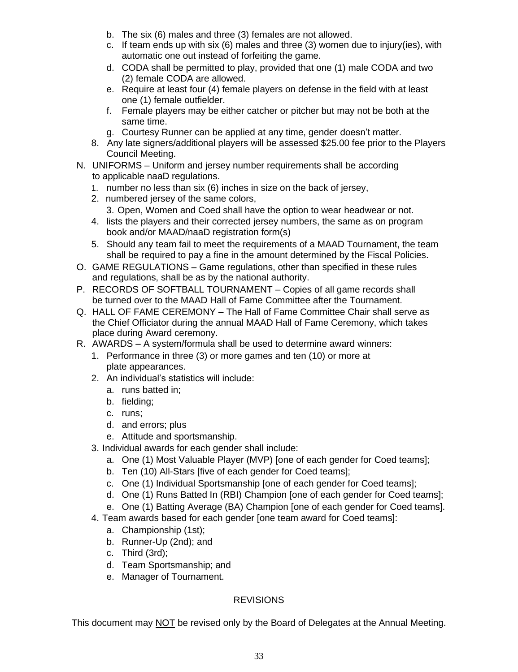- b. The six (6) males and three (3) females are not allowed.
- c. If team ends up with six (6) males and three (3) women due to injury(ies), with automatic one out instead of forfeiting the game.
- d. CODA shall be permitted to play, provided that one (1) male CODA and two (2) female CODA are allowed.
- e. Require at least four (4) female players on defense in the field with at least one (1) female outfielder.
- f. Female players may be either catcher or pitcher but may not be both at the same time.
- g. Courtesy Runner can be applied at any time, gender doesn't matter.
- 8. Any late signers/additional players will be assessed \$25.00 fee prior to the Players Council Meeting.
- N. UNIFORMS Uniform and jersey number requirements shall be according to applicable naaD regulations.
	- 1. number no less than six (6) inches in size on the back of jersey,
	- 2. numbered jersey of the same colors,
		- 3. Open, Women and Coed shall have the option to wear headwear or not.
	- 4. lists the players and their corrected jersey numbers, the same as on program book and/or MAAD/naaD registration form(s)
	- 5. Should any team fail to meet the requirements of a MAAD Tournament, the team shall be required to pay a fine in the amount determined by the Fiscal Policies.
- O. GAME REGULATIONS Game regulations, other than specified in these rules and regulations, shall be as by the national authority.
- P. RECORDS OF SOFTBALL TOURNAMENT Copies of all game records shall be turned over to the MAAD Hall of Fame Committee after the Tournament.
- Q. HALL OF FAME CEREMONY The Hall of Fame Committee Chair shall serve as the Chief Officiator during the annual MAAD Hall of Fame Ceremony, which takes place during Award ceremony.
- R. AWARDS A system/formula shall be used to determine award winners:
	- 1. Performance in three (3) or more games and ten (10) or more at plate appearances.
	- 2. An individual's statistics will include:
		- a. runs batted in;
		- b. fielding;
		- c. runs;
		- d. and errors; plus
		- e. Attitude and sportsmanship.
	- 3. Individual awards for each gender shall include:
		- a. One (1) Most Valuable Player (MVP) [one of each gender for Coed teams];
		- b. Ten (10) All-Stars [five of each gender for Coed teams];
		- c. One (1) Individual Sportsmanship [one of each gender for Coed teams];
		- d. One (1) Runs Batted In (RBI) Champion [one of each gender for Coed teams];
		- e. One (1) Batting Average (BA) Champion [one of each gender for Coed teams].
	- 4. Team awards based for each gender [one team award for Coed teams]:
		- a. Championship (1st);
		- b. Runner-Up (2nd); and
		- c. Third (3rd);
		- d. Team Sportsmanship; and
		- e. Manager of Tournament.

## **REVISIONS**

This document may NOT be revised only by the Board of Delegates at the Annual Meeting.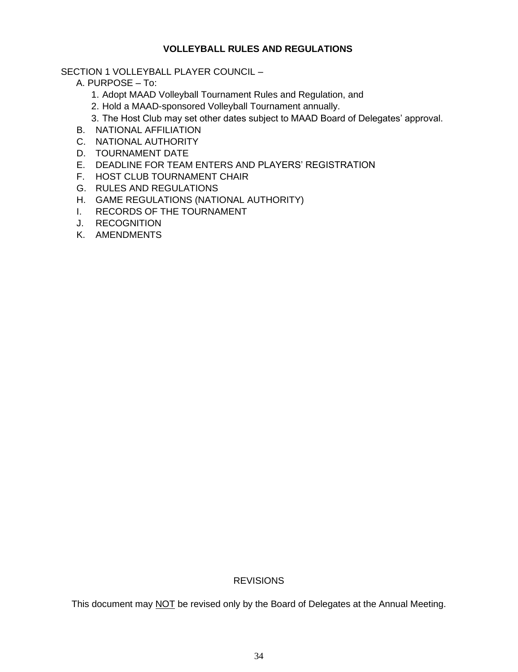### **VOLLEYBALL RULES AND REGULATIONS**

#### SECTION 1 VOLLEYBALL PLAYER COUNCIL –

- A. PURPOSE To:
	- 1. Adopt MAAD Volleyball Tournament Rules and Regulation, and
	- 2. Hold a MAAD-sponsored Volleyball Tournament annually.
	- 3. The Host Club may set other dates subject to MAAD Board of Delegates' approval.
- B. NATIONAL AFFILIATION
- C. NATIONAL AUTHORITY
- D. TOURNAMENT DATE
- E. DEADLINE FOR TEAM ENTERS AND PLAYERS' REGISTRATION
- F. HOST CLUB TOURNAMENT CHAIR
- G. RULES AND REGULATIONS
- H. GAME REGULATIONS (NATIONAL AUTHORITY)
- I. RECORDS OF THE TOURNAMENT
- J. RECOGNITION
- K. AMENDMENTS

#### **REVISIONS**

This document may NOT be revised only by the Board of Delegates at the Annual Meeting.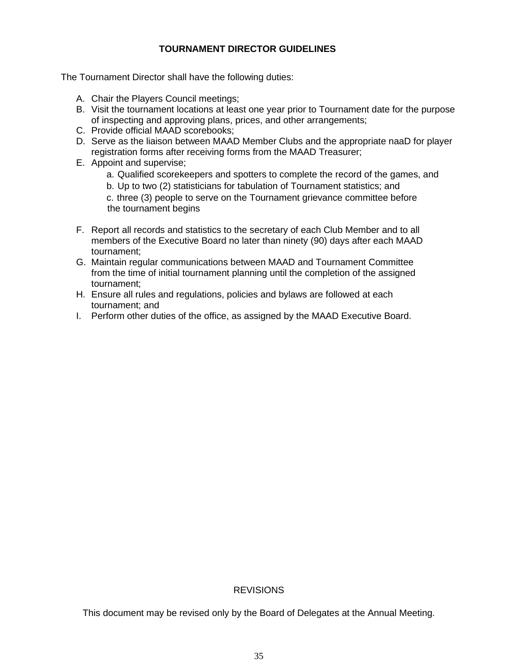### **TOURNAMENT DIRECTOR GUIDELINES**

The Tournament Director shall have the following duties:

- A. Chair the Players Council meetings;
- B. Visit the tournament locations at least one year prior to Tournament date for the purpose of inspecting and approving plans, prices, and other arrangements;
- C. Provide official MAAD scorebooks;
- D. Serve as the liaison between MAAD Member Clubs and the appropriate naaD for player registration forms after receiving forms from the MAAD Treasurer;
- E. Appoint and supervise;
	- a. Qualified scorekeepers and spotters to complete the record of the games, and
	- b. Up to two (2) statisticians for tabulation of Tournament statistics; and

c. three (3) people to serve on the Tournament grievance committee before the tournament begins

- F. Report all records and statistics to the secretary of each Club Member and to all members of the Executive Board no later than ninety (90) days after each MAAD tournament;
- G. Maintain regular communications between MAAD and Tournament Committee from the time of initial tournament planning until the completion of the assigned tournament;
- H. Ensure all rules and regulations, policies and bylaws are followed at each tournament; and
- I. Perform other duties of the office, as assigned by the MAAD Executive Board.

#### REVISIONS

This document may be revised only by the Board of Delegates at the Annual Meeting.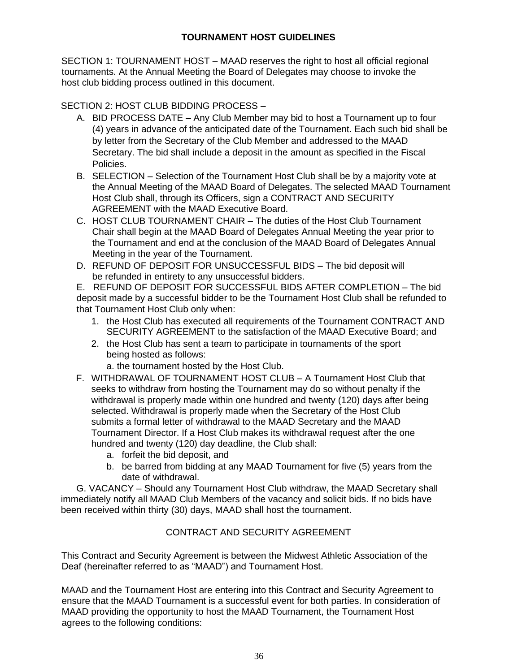## **TOURNAMENT HOST GUIDELINES**

SECTION 1: TOURNAMENT HOST – MAAD reserves the right to host all official regional tournaments. At the Annual Meeting the Board of Delegates may choose to invoke the host club bidding process outlined in this document.

SECTION 2: HOST CLUB BIDDING PROCESS –

- A. BID PROCESS DATE Any Club Member may bid to host a Tournament up to four (4) years in advance of the anticipated date of the Tournament. Each such bid shall be by letter from the Secretary of the Club Member and addressed to the MAAD Secretary. The bid shall include a deposit in the amount as specified in the Fiscal Policies.
- B. SELECTION Selection of the Tournament Host Club shall be by a majority vote at the Annual Meeting of the MAAD Board of Delegates. The selected MAAD Tournament Host Club shall, through its Officers, sign a CONTRACT AND SECURITY AGREEMENT with the MAAD Executive Board.
- C. HOST CLUB TOURNAMENT CHAIR The duties of the Host Club Tournament Chair shall begin at the MAAD Board of Delegates Annual Meeting the year prior to the Tournament and end at the conclusion of the MAAD Board of Delegates Annual Meeting in the year of the Tournament.
- D. REFUND OF DEPOSIT FOR UNSUCCESSFUL BIDS The bid deposit will be refunded in entirety to any unsuccessful bidders.

E. REFUND OF DEPOSIT FOR SUCCESSFUL BIDS AFTER COMPLETION – The bid deposit made by a successful bidder to be the Tournament Host Club shall be refunded to that Tournament Host Club only when:

- 1. the Host Club has executed all requirements of the Tournament CONTRACT AND SECURITY AGREEMENT to the satisfaction of the MAAD Executive Board; and
- 2. the Host Club has sent a team to participate in tournaments of the sport being hosted as follows:
	- a. the tournament hosted by the Host Club.
- F. WITHDRAWAL OF TOURNAMENT HOST CLUB A Tournament Host Club that seeks to withdraw from hosting the Tournament may do so without penalty if the withdrawal is properly made within one hundred and twenty (120) days after being selected. Withdrawal is properly made when the Secretary of the Host Club submits a formal letter of withdrawal to the MAAD Secretary and the MAAD Tournament Director. If a Host Club makes its withdrawal request after the one hundred and twenty (120) day deadline, the Club shall:
	- a. forfeit the bid deposit, and
	- b. be barred from bidding at any MAAD Tournament for five (5) years from the date of withdrawal.

 G. VACANCY – Should any Tournament Host Club withdraw, the MAAD Secretary shall immediately notify all MAAD Club Members of the vacancy and solicit bids. If no bids have been received within thirty (30) days, MAAD shall host the tournament.

## CONTRACT AND SECURITY AGREEMENT

This Contract and Security Agreement is between the Midwest Athletic Association of the Deaf (hereinafter referred to as "MAAD") and Tournament Host.

MAAD and the Tournament Host are entering into this Contract and Security Agreement to ensure that the MAAD Tournament is a successful event for both parties. In consideration of MAAD providing the opportunity to host the MAAD Tournament, the Tournament Host agrees to the following conditions: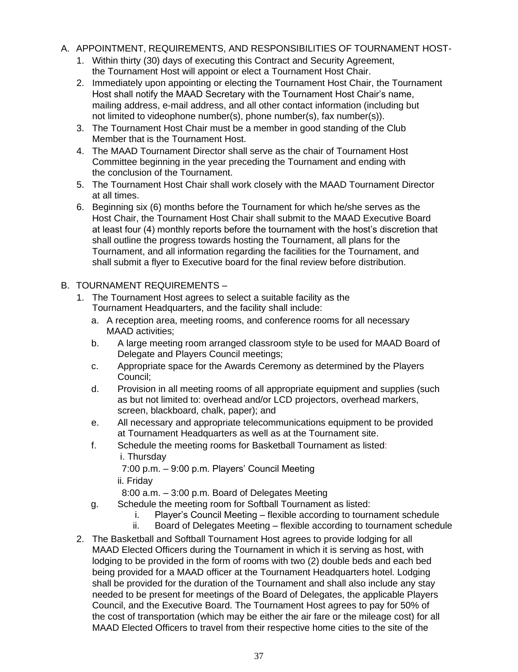### A. APPOINTMENT, REQUIREMENTS, AND RESPONSIBILITIES OF TOURNAMENT HOST-

- 1. Within thirty (30) days of executing this Contract and Security Agreement, the Tournament Host will appoint or elect a Tournament Host Chair.
- 2. Immediately upon appointing or electing the Tournament Host Chair, the Tournament Host shall notify the MAAD Secretary with the Tournament Host Chair's name, mailing address, e-mail address, and all other contact information (including but not limited to videophone number(s), phone number(s), fax number(s)).
- 3. The Tournament Host Chair must be a member in good standing of the Club Member that is the Tournament Host.
- 4. The MAAD Tournament Director shall serve as the chair of Tournament Host Committee beginning in the year preceding the Tournament and ending with the conclusion of the Tournament.
- 5. The Tournament Host Chair shall work closely with the MAAD Tournament Director at all times.
- 6. Beginning six (6) months before the Tournament for which he/she serves as the Host Chair, the Tournament Host Chair shall submit to the MAAD Executive Board at least four (4) monthly reports before the tournament with the host's discretion that shall outline the progress towards hosting the Tournament, all plans for the Tournament, and all information regarding the facilities for the Tournament, and shall submit a flyer to Executive board for the final review before distribution.

## B. TOURNAMENT REQUIREMENTS –

- 1. The Tournament Host agrees to select a suitable facility as the Tournament Headquarters, and the facility shall include:
	- a. A reception area, meeting rooms, and conference rooms for all necessary MAAD activities;
	- b. A large meeting room arranged classroom style to be used for MAAD Board of Delegate and Players Council meetings;
	- c. Appropriate space for the Awards Ceremony as determined by the Players Council;
	- d. Provision in all meeting rooms of all appropriate equipment and supplies (such as but not limited to: overhead and/or LCD projectors, overhead markers, screen, blackboard, chalk, paper); and
	- e. All necessary and appropriate telecommunications equipment to be provided at Tournament Headquarters as well as at the Tournament site.
	- f. Schedule the meeting rooms for Basketball Tournament as listed: i. Thursday

7:00 p.m. – 9:00 p.m. Players' Council Meeting

ii. Friday

8:00 a.m. – 3:00 p.m. Board of Delegates Meeting

- g. Schedule the meeting room for Softball Tournament as listed:
	- i. Player's Council Meeting flexible according to tournament schedule
	- ii. Board of Delegates Meeting flexible according to tournament schedule
- 2. The Basketball and Softball Tournament Host agrees to provide lodging for all MAAD Elected Officers during the Tournament in which it is serving as host, with lodging to be provided in the form of rooms with two (2) double beds and each bed being provided for a MAAD officer at the Tournament Headquarters hotel. Lodging shall be provided for the duration of the Tournament and shall also include any stay needed to be present for meetings of the Board of Delegates, the applicable Players Council, and the Executive Board. The Tournament Host agrees to pay for 50% of the cost of transportation (which may be either the air fare or the mileage cost) for all MAAD Elected Officers to travel from their respective home cities to the site of the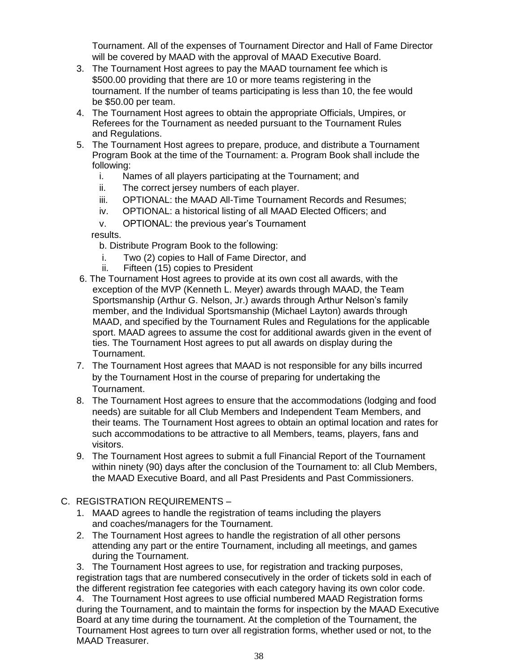Tournament. All of the expenses of Tournament Director and Hall of Fame Director will be covered by MAAD with the approval of MAAD Executive Board.

- 3. The Tournament Host agrees to pay the MAAD tournament fee which is \$500.00 providing that there are 10 or more teams registering in the tournament. If the number of teams participating is less than 10, the fee would be \$50.00 per team.
- 4. The Tournament Host agrees to obtain the appropriate Officials, Umpires, or Referees for the Tournament as needed pursuant to the Tournament Rules and Regulations.
- 5. The Tournament Host agrees to prepare, produce, and distribute a Tournament Program Book at the time of the Tournament: a. Program Book shall include the following:
	- i. Names of all players participating at the Tournament; and
	- ii. The correct jersey numbers of each player.
	- iii. OPTIONAL: the MAAD All-Time Tournament Records and Resumes;
	- iv. OPTIONAL: a historical listing of all MAAD Elected Officers; and
	- v. OPTIONAL: the previous year's Tournament

results.

- b. Distribute Program Book to the following:
- i. Two (2) copies to Hall of Fame Director, and
- ii. Fifteen (15) copies to President
- 6. The Tournament Host agrees to provide at its own cost all awards, with the exception of the MVP (Kenneth L. Meyer) awards through MAAD, the Team Sportsmanship (Arthur G. Nelson, Jr.) awards through Arthur Nelson's family member, and the Individual Sportsmanship (Michael Layton) awards through MAAD, and specified by the Tournament Rules and Regulations for the applicable sport. MAAD agrees to assume the cost for additional awards given in the event of ties. The Tournament Host agrees to put all awards on display during the Tournament.
- 7. The Tournament Host agrees that MAAD is not responsible for any bills incurred by the Tournament Host in the course of preparing for undertaking the Tournament.
- 8. The Tournament Host agrees to ensure that the accommodations (lodging and food needs) are suitable for all Club Members and Independent Team Members, and their teams. The Tournament Host agrees to obtain an optimal location and rates for such accommodations to be attractive to all Members, teams, players, fans and visitors.
- 9. The Tournament Host agrees to submit a full Financial Report of the Tournament within ninety (90) days after the conclusion of the Tournament to: all Club Members, the MAAD Executive Board, and all Past Presidents and Past Commissioners.
- C. REGISTRATION REQUIREMENTS
	- 1. MAAD agrees to handle the registration of teams including the players and coaches/managers for the Tournament.
	- 2. The Tournament Host agrees to handle the registration of all other persons attending any part or the entire Tournament, including all meetings, and games during the Tournament.

3. The Tournament Host agrees to use, for registration and tracking purposes, registration tags that are numbered consecutively in the order of tickets sold in each of the different registration fee categories with each category having its own color code. 4. The Tournament Host agrees to use official numbered MAAD Registration forms

during the Tournament, and to maintain the forms for inspection by the MAAD Executive Board at any time during the tournament. At the completion of the Tournament, the Tournament Host agrees to turn over all registration forms, whether used or not, to the MAAD Treasurer.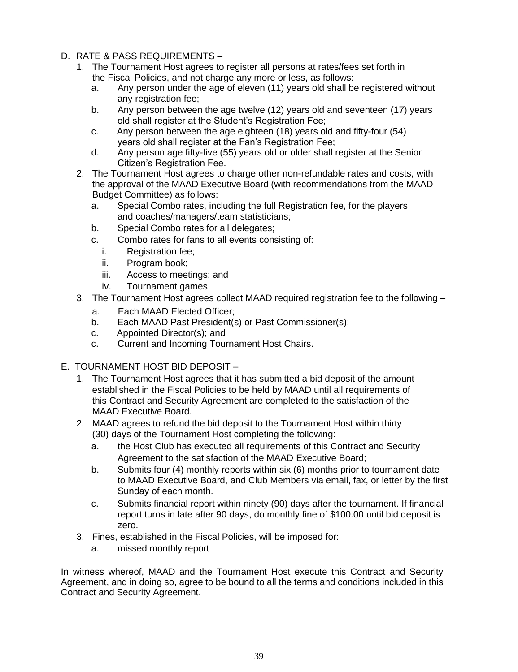- D. RATE & PASS REQUIREMENTS
	- 1. The Tournament Host agrees to register all persons at rates/fees set forth in the Fiscal Policies, and not charge any more or less, as follows:
		- a. Any person under the age of eleven (11) years old shall be registered without any registration fee;
		- b. Any person between the age twelve (12) years old and seventeen (17) years old shall register at the Student's Registration Fee;
		- c. Any person between the age eighteen (18) years old and fifty-four (54) years old shall register at the Fan's Registration Fee;
		- d. Any person age fifty-five (55) years old or older shall register at the Senior Citizen's Registration Fee.
	- 2. The Tournament Host agrees to charge other non-refundable rates and costs, with the approval of the MAAD Executive Board (with recommendations from the MAAD Budget Committee) as follows:
		- a. Special Combo rates, including the full Registration fee, for the players and coaches/managers/team statisticians;
		- b. Special Combo rates for all delegates;
		- c. Combo rates for fans to all events consisting of:
			- i. Registration fee;
			- ii. Program book;
			- iii. Access to meetings; and
			- iv. Tournament games
	- 3. The Tournament Host agrees collect MAAD required registration fee to the following
		- a. Each MAAD Elected Officer;
		- b. Each MAAD Past President(s) or Past Commissioner(s);
		- c. Appointed Director(s); and
		- c. Current and Incoming Tournament Host Chairs.
- E. TOURNAMENT HOST BID DEPOSIT
	- 1. The Tournament Host agrees that it has submitted a bid deposit of the amount established in the Fiscal Policies to be held by MAAD until all requirements of this Contract and Security Agreement are completed to the satisfaction of the MAAD Executive Board.
	- 2. MAAD agrees to refund the bid deposit to the Tournament Host within thirty (30) days of the Tournament Host completing the following:
		- a. the Host Club has executed all requirements of this Contract and Security Agreement to the satisfaction of the MAAD Executive Board;
		- b. Submits four (4) monthly reports within six (6) months prior to tournament date to MAAD Executive Board, and Club Members via email, fax, or letter by the first Sunday of each month.
		- c. Submits financial report within ninety (90) days after the tournament. If financial report turns in late after 90 days, do monthly fine of \$100.00 until bid deposit is zero.
	- 3. Fines, established in the Fiscal Policies, will be imposed for:
		- a. missed monthly report

In witness whereof, MAAD and the Tournament Host execute this Contract and Security Agreement, and in doing so, agree to be bound to all the terms and conditions included in this Contract and Security Agreement.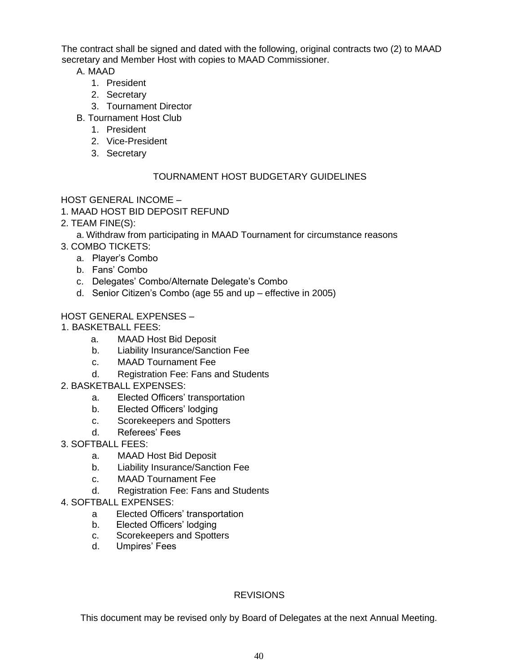The contract shall be signed and dated with the following, original contracts two (2) to MAAD secretary and Member Host with copies to MAAD Commissioner.

A. MAAD

- 1. President
- 2. Secretary
- 3. Tournament Director
- B. Tournament Host Club
	- 1. President
	- 2. Vice-President
	- 3. Secretary

## TOURNAMENT HOST BUDGETARY GUIDELINES

HOST GENERAL INCOME –

- 1. MAAD HOST BID DEPOSIT REFUND
- 2. TEAM FINE(S):
	- a. Withdraw from participating in MAAD Tournament for circumstance reasons
- 3. COMBO TICKETS:
	- a. Player's Combo
	- b. Fans' Combo
	- c. Delegates' Combo/Alternate Delegate's Combo
	- d. Senior Citizen's Combo (age 55 and up effective in 2005)

## HOST GENERAL EXPENSES –

- 1. BASKETBALL FEES:
	- a. MAAD Host Bid Deposit
	- b. Liability Insurance/Sanction Fee
	- c. MAAD Tournament Fee
		- d. Registration Fee: Fans and Students
- 2. BASKETBALL EXPENSES:
	- a. Elected Officers' transportation
	- b. Elected Officers' lodging
	- c. Scorekeepers and Spotters
	- d. Referees' Fees
- 3. SOFTBALL FEES:
	- a. MAAD Host Bid Deposit
	- b. Liability Insurance/Sanction Fee
	- c. MAAD Tournament Fee
	- d. Registration Fee: Fans and Students
- 4. SOFTBALL EXPENSES:
	- a Elected Officers' transportation
	- b. Elected Officers' lodging
	- c. Scorekeepers and Spotters
	- d. Umpires' Fees

## REVISIONS

This document may be revised only by Board of Delegates at the next Annual Meeting.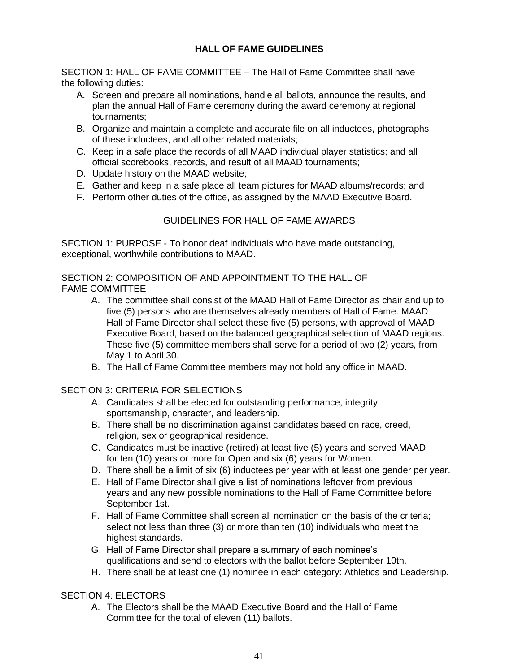### **HALL OF FAME GUIDELINES**

SECTION 1: HALL OF FAME COMMITTEE – The Hall of Fame Committee shall have the following duties:

- A. Screen and prepare all nominations, handle all ballots, announce the results, and plan the annual Hall of Fame ceremony during the award ceremony at regional tournaments;
- B. Organize and maintain a complete and accurate file on all inductees, photographs of these inductees, and all other related materials;
- C. Keep in a safe place the records of all MAAD individual player statistics; and all official scorebooks, records, and result of all MAAD tournaments;
- D. Update history on the MAAD website;
- E. Gather and keep in a safe place all team pictures for MAAD albums/records; and
- F. Perform other duties of the office, as assigned by the MAAD Executive Board.

### GUIDELINES FOR HALL OF FAME AWARDS

SECTION 1: PURPOSE - To honor deaf individuals who have made outstanding, exceptional, worthwhile contributions to MAAD.

#### SECTION 2: COMPOSITION OF AND APPOINTMENT TO THE HALL OF FAME COMMITTEE

- A. The committee shall consist of the MAAD Hall of Fame Director as chair and up to five (5) persons who are themselves already members of Hall of Fame. MAAD Hall of Fame Director shall select these five (5) persons, with approval of MAAD Executive Board, based on the balanced geographical selection of MAAD regions. These five (5) committee members shall serve for a period of two (2) years, from May 1 to April 30.
- B. The Hall of Fame Committee members may not hold any office in MAAD.

#### SECTION 3: CRITERIA FOR SELECTIONS

- A. Candidates shall be elected for outstanding performance, integrity, sportsmanship, character, and leadership.
- B. There shall be no discrimination against candidates based on race, creed, religion, sex or geographical residence.
- C. Candidates must be inactive (retired) at least five (5) years and served MAAD for ten (10) years or more for Open and six (6) years for Women.
- D. There shall be a limit of six (6) inductees per year with at least one gender per year.
- E. Hall of Fame Director shall give a list of nominations leftover from previous years and any new possible nominations to the Hall of Fame Committee before September 1st.
- F. Hall of Fame Committee shall screen all nomination on the basis of the criteria; select not less than three (3) or more than ten (10) individuals who meet the highest standards.
- G. Hall of Fame Director shall prepare a summary of each nominee's qualifications and send to electors with the ballot before September 10th.
- H. There shall be at least one (1) nominee in each category: Athletics and Leadership.

#### SECTION 4: ELECTORS

A. The Electors shall be the MAAD Executive Board and the Hall of Fame Committee for the total of eleven (11) ballots.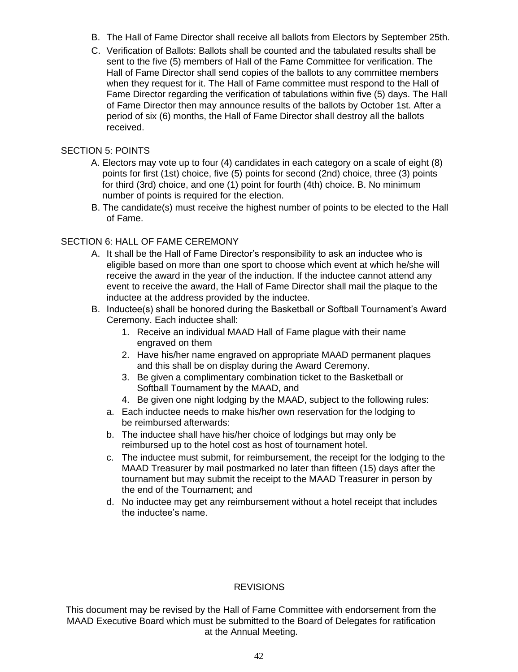- B. The Hall of Fame Director shall receive all ballots from Electors by September 25th.
- C. Verification of Ballots: Ballots shall be counted and the tabulated results shall be sent to the five (5) members of Hall of the Fame Committee for verification. The Hall of Fame Director shall send copies of the ballots to any committee members when they request for it. The Hall of Fame committee must respond to the Hall of Fame Director regarding the verification of tabulations within five (5) days. The Hall of Fame Director then may announce results of the ballots by October 1st. After a period of six (6) months, the Hall of Fame Director shall destroy all the ballots received.

#### SECTION 5: POINTS

- A. Electors may vote up to four (4) candidates in each category on a scale of eight (8) points for first (1st) choice, five (5) points for second (2nd) choice, three (3) points for third (3rd) choice, and one (1) point for fourth (4th) choice. B. No minimum number of points is required for the election.
- B. The candidate(s) must receive the highest number of points to be elected to the Hall of Fame.

### SECTION 6: HALL OF FAME CEREMONY

- A. It shall be the Hall of Fame Director's responsibility to ask an inductee who is eligible based on more than one sport to choose which event at which he/she will receive the award in the year of the induction. If the inductee cannot attend any event to receive the award, the Hall of Fame Director shall mail the plaque to the inductee at the address provided by the inductee.
- B. Inductee(s) shall be honored during the Basketball or Softball Tournament's Award Ceremony. Each inductee shall:
	- 1. Receive an individual MAAD Hall of Fame plague with their name engraved on them
	- 2. Have his/her name engraved on appropriate MAAD permanent plaques and this shall be on display during the Award Ceremony.
	- 3. Be given a complimentary combination ticket to the Basketball or Softball Tournament by the MAAD, and
	- 4. Be given one night lodging by the MAAD, subject to the following rules:
	- a. Each inductee needs to make his/her own reservation for the lodging to be reimbursed afterwards:
	- b. The inductee shall have his/her choice of lodgings but may only be reimbursed up to the hotel cost as host of tournament hotel.
	- c. The inductee must submit, for reimbursement, the receipt for the lodging to the MAAD Treasurer by mail postmarked no later than fifteen (15) days after the tournament but may submit the receipt to the MAAD Treasurer in person by the end of the Tournament; and
	- d. No inductee may get any reimbursement without a hotel receipt that includes the inductee's name.

#### REVISIONS

This document may be revised by the Hall of Fame Committee with endorsement from the MAAD Executive Board which must be submitted to the Board of Delegates for ratification at the Annual Meeting.